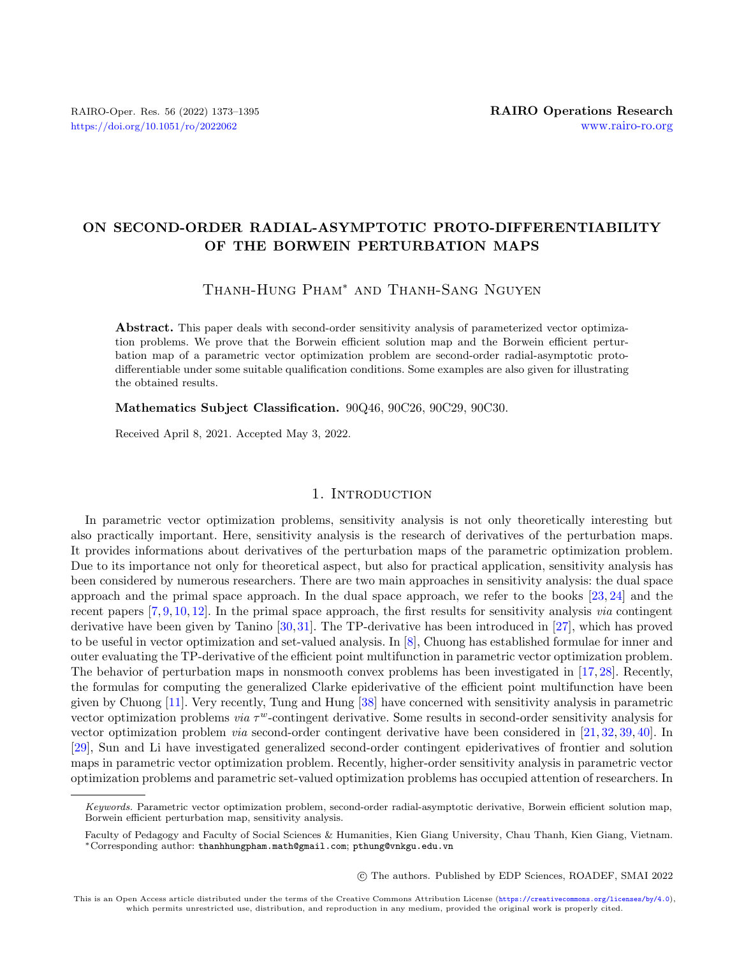# ON SECOND-ORDER RADIAL-ASYMPTOTIC PROTO-DIFFERENTIABILITY OF THE BORWEIN PERTURBATION MAPS

Thanh-Hung Pham\* and Thanh-Sang Nguyen

Abstract. This paper deals with second-order sensitivity analysis of parameterized vector optimization problems. We prove that the Borwein efficient solution map and the Borwein efficient perturbation map of a parametric vector optimization problem are second-order radial-asymptotic protodifferentiable under some suitable qualification conditions. Some examples are also given for illustrating the obtained results.

#### Mathematics Subject Classification. 90Q46, 90C26, 90C29, 90C30.

Received April 8, 2021. Accepted May 3, 2022.

## 1. INTRODUCTION

In parametric vector optimization problems, sensitivity analysis is not only theoretically interesting but also practically important. Here, sensitivity analysis is the research of derivatives of the perturbation maps. It provides informations about derivatives of the perturbation maps of the parametric optimization problem. Due to its importance not only for theoretical aspect, but also for practical application, sensitivity analysis has been considered by numerous researchers. There are two main approaches in sensitivity analysis: the dual space approach and the primal space approach. In the dual space approach, we refer to the books [\[23,](#page-21-0) [24\]](#page-22-0) and the recent papers [\[7,](#page-21-1) [9,](#page-21-2) [10,](#page-21-3) [12\]](#page-21-4). In the primal space approach, the first results for sensitivity analysis via contingent derivative have been given by Tanino [\[30,](#page-22-1)[31\]](#page-22-2). The TP-derivative has been introduced in [\[27\]](#page-22-3), which has proved to be useful in vector optimization and set-valued analysis. In [\[8\]](#page-21-5), Chuong has established formulae for inner and outer evaluating the TP-derivative of the efficient point multifunction in parametric vector optimization problem. The behavior of perturbation maps in nonsmooth convex problems has been investigated in [\[17,](#page-21-6) [28\]](#page-22-4). Recently, the formulas for computing the generalized Clarke epiderivative of the efficient point multifunction have been given by Chuong [\[11\]](#page-21-7). Very recently, Tung and Hung [\[38\]](#page-22-5) have concerned with sensitivity analysis in parametric vector optimization problems *via*  $\tau^w$ -contingent derivative. Some results in second-order sensitivity analysis for vector optimization problem via second-order contingent derivative have been considered in [\[21,](#page-21-8) [32,](#page-22-6) [39,](#page-22-7) [40\]](#page-22-8). In [\[29\]](#page-22-9), Sun and Li have investigated generalized second-order contingent epiderivatives of frontier and solution maps in parametric vector optimization problem. Recently, higher-order sensitivity analysis in parametric vector optimization problems and parametric set-valued optimization problems has occupied attention of researchers. In

○c The authors. Published by EDP Sciences, ROADEF, SMAI 2022

This is an Open Access article distributed under the terms of the Creative Commons Attribution License (<https://creativecommons.org/licenses/by/4.0>), which permits unrestricted use, distribution, and reproduction in any medium, provided the original work is properly cited.

Keywords. Parametric vector optimization problem, second-order radial-asymptotic derivative, Borwein efficient solution map, Borwein efficient perturbation map, sensitivity analysis.

Faculty of Pedagogy and Faculty of Social Sciences & Humanities, Kien Giang University, Chau Thanh, Kien Giang, Vietnam. \*Corresponding author: [thanhhungpham.math@gmail.com](mailto:thanhhungpham.math@gmail.com); [pthung@vnkgu.edu.vn](mailto:pthung@vnkgu.edu.vn)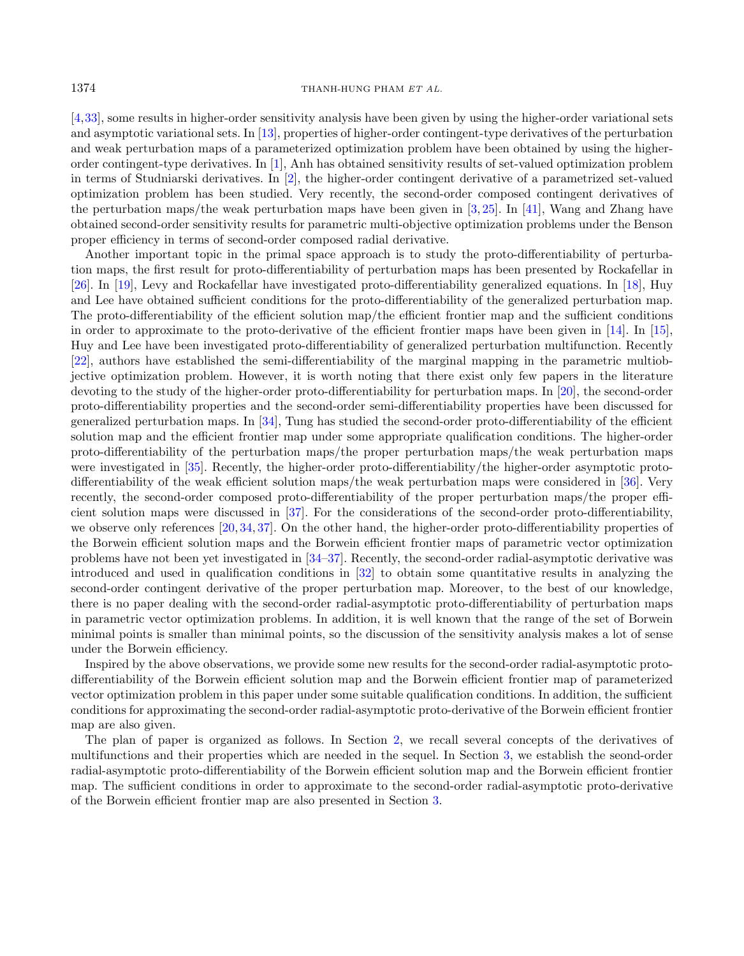[\[4,](#page-21-9)[33\]](#page-22-10), some results in higher-order sensitivity analysis have been given by using the higher-order variational sets and asymptotic variational sets. In [\[13\]](#page-21-10), properties of higher-order contingent-type derivatives of the perturbation and weak perturbation maps of a parameterized optimization problem have been obtained by using the higherorder contingent-type derivatives. In [\[1\]](#page-21-11), Anh has obtained sensitivity results of set-valued optimization problem in terms of Studniarski derivatives. In [\[2\]](#page-21-12), the higher-order contingent derivative of a parametrized set-valued optimization problem has been studied. Very recently, the second-order composed contingent derivatives of the perturbation maps/the weak perturbation maps have been given in  $[3, 25]$  $[3, 25]$  $[3, 25]$ . In [\[41\]](#page-22-12), Wang and Zhang have obtained second-order sensitivity results for parametric multi-objective optimization problems under the Benson proper efficiency in terms of second-order composed radial derivative.

Another important topic in the primal space approach is to study the proto-differentiability of perturbation maps, the first result for proto-differentiability of perturbation maps has been presented by Rockafellar in [\[26\]](#page-22-13). In [\[19\]](#page-21-14), Levy and Rockafellar have investigated proto-differentiability generalized equations. In [\[18\]](#page-21-15), Huy and Lee have obtained sufficient conditions for the proto-differentiability of the generalized perturbation map. The proto-differentiability of the efficient solution map/the efficient frontier map and the sufficient conditions in order to approximate to the proto-derivative of the efficient frontier maps have been given in [\[14\]](#page-21-16). In [\[15\]](#page-21-17), Huy and Lee have been investigated proto-differentiability of generalized perturbation multifunction. Recently [\[22\]](#page-21-18), authors have established the semi-differentiability of the marginal mapping in the parametric multiobjective optimization problem. However, it is worth noting that there exist only few papers in the literature devoting to the study of the higher-order proto-differentiability for perturbation maps. In [\[20\]](#page-21-19), the second-order proto-differentiability properties and the second-order semi-differentiability properties have been discussed for generalized perturbation maps. In [\[34\]](#page-22-14), Tung has studied the second-order proto-differentiability of the efficient solution map and the efficient frontier map under some appropriate qualification conditions. The higher-order proto-differentiability of the perturbation maps/the proper perturbation maps/the weak perturbation maps were investigated in [\[35\]](#page-22-15). Recently, the higher-order proto-differentiability/the higher-order asymptotic proto-differentiability of the weak efficient solution maps/the weak perturbation maps were considered in [\[36\]](#page-22-16). Very recently, the second-order composed proto-differentiability of the proper perturbation maps/the proper efficient solution maps were discussed in [\[37\]](#page-22-17). For the considerations of the second-order proto-differentiability, we observe only references [\[20,](#page-21-19) [34,](#page-22-14) [37\]](#page-22-17). On the other hand, the higher-order proto-differentiability properties of the Borwein efficient solution maps and the Borwein efficient frontier maps of parametric vector optimization problems have not been yet investigated in [\[34](#page-22-14)[–37\]](#page-22-17). Recently, the second-order radial-asymptotic derivative was introduced and used in qualification conditions in [\[32\]](#page-22-6) to obtain some quantitative results in analyzing the second-order contingent derivative of the proper perturbation map. Moreover, to the best of our knowledge, there is no paper dealing with the second-order radial-asymptotic proto-differentiability of perturbation maps in parametric vector optimization problems. In addition, it is well known that the range of the set of Borwein minimal points is smaller than minimal points, so the discussion of the sensitivity analysis makes a lot of sense under the Borwein efficiency.

Inspired by the above observations, we provide some new results for the second-order radial-asymptotic protodifferentiability of the Borwein efficient solution map and the Borwein efficient frontier map of parameterized vector optimization problem in this paper under some suitable qualification conditions. In addition, the sufficient conditions for approximating the second-order radial-asymptotic proto-derivative of the Borwein efficient frontier map are also given.

The plan of paper is organized as follows. In Section [2,](#page-2-0) we recall several concepts of the derivatives of multifunctions and their properties which are needed in the sequel. In Section [3,](#page-8-0) we establish the seond-order radial-asymptotic proto-differentiability of the Borwein efficient solution map and the Borwein efficient frontier map. The sufficient conditions in order to approximate to the second-order radial-asymptotic proto-derivative of the Borwein efficient frontier map are also presented in Section [3.](#page-8-0)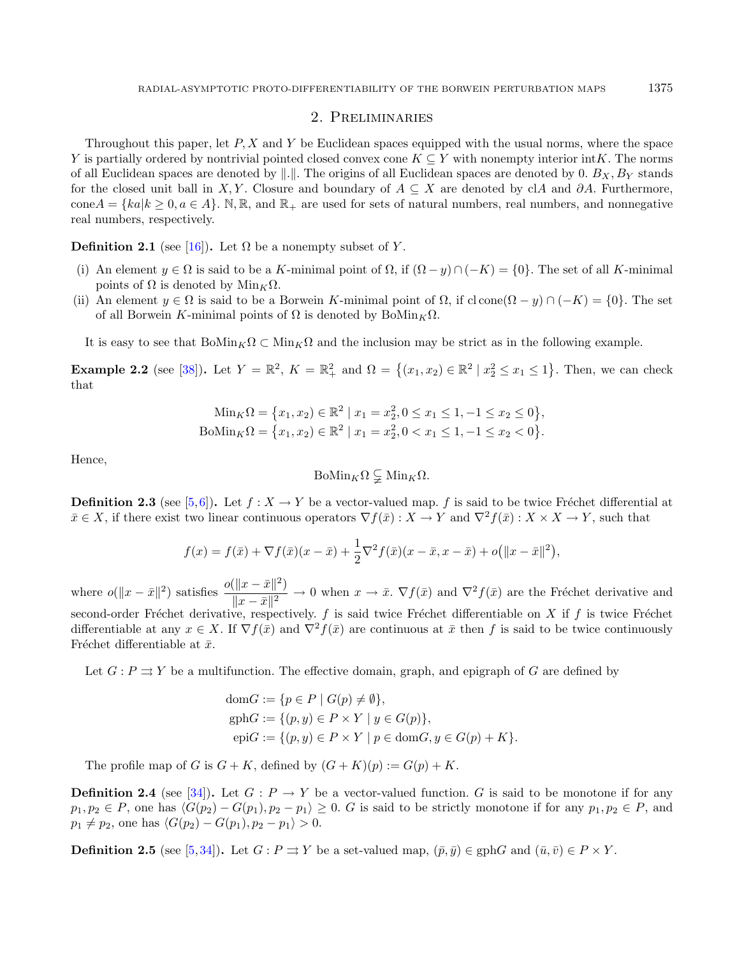## 2. Preliminaries

<span id="page-2-0"></span>Throughout this paper, let  $P, X$  and  $Y$  be Euclidean spaces equipped with the usual norms, where the space Y is partially ordered by nontrivial pointed closed convex cone  $K \subseteq Y$  with nonempty interior int $K$ . The norms of all Euclidean spaces are denoted by  $\|\cdot\|$ . The origins of all Euclidean spaces are denoted by 0.  $B_X, B_Y$  stands for the closed unit ball in X, Y. Closure and boundary of  $A \subseteq X$  are denoted by clA and ∂A. Furthermore,  $\text{cone} A = \{ ka | k \geq 0, a \in A \}.$  N, R, and R<sub>+</sub> are used for sets of natural numbers, real numbers, and nonnegative real numbers, respectively.

**Definition 2.1** (see [\[16\]](#page-21-20)). Let  $\Omega$  be a nonempty subset of Y.

- (i) An element  $y \in \Omega$  is said to be a K-minimal point of  $\Omega$ , if  $(\Omega y) \cap (-K) = \{0\}$ . The set of all K-minimal points of  $Ω$  is denoted by  $Min_K Ω$ .
- (ii) An element  $y \in \Omega$  is said to be a Borwein K-minimal point of  $\Omega$ , if cl cone $(\Omega y) \cap (-K) = \{0\}$ . The set of all Borwein K-minimal points of  $\Omega$  is denoted by BoMin<sub>K</sub> $\Omega$ .

It is easy to see that  $B \circ \text{Min}_{K} \Omega \subset \text{Min}_{K} \Omega$  and the inclusion may be strict as in the following example.

**Example 2.2** (see [\[38\]](#page-22-5)). Let  $Y = \mathbb{R}^2$ ,  $K = \mathbb{R}^2_+$  and  $\Omega = \{(x_1, x_2) \in \mathbb{R}^2 \mid x_2^2 \le x_1 \le 1\}$ . Then, we can check that

$$
\begin{aligned} \text{Min}_{K}\Omega &= \left\{ x_{1}, x_{2} \right\} \in \mathbb{R}^{2} \mid x_{1} = x_{2}^{2}, 0 \le x_{1} \le 1, -1 \le x_{2} \le 0 \right\}, \\ \text{BoMin}_{K}\Omega &= \left\{ x_{1}, x_{2} \right\} \in \mathbb{R}^{2} \mid x_{1} = x_{2}^{2}, 0 < x_{1} \le 1, -1 \le x_{2} < 0 \right\}. \end{aligned}
$$

Hence,

$$
\mathrm{BoMin}_{K}\Omega \subsetneq \mathrm{Min}_{K}\Omega.
$$

**Definition 2.3** (see [\[5,](#page-21-21)[6\]](#page-21-22)). Let  $f : X \to Y$  be a vector-valued map. f is said to be twice Fréchet differential at  $\bar{x} \in X$ , if there exist two linear continuous operators  $\nabla f(\bar{x}) : X \to Y$  and  $\nabla^2 f(\bar{x}) : X \times X \to Y$ , such that

$$
f(x) = f(\bar{x}) + \nabla f(\bar{x})(x - \bar{x}) + \frac{1}{2}\nabla^2 f(\bar{x})(x - \bar{x}, x - \bar{x}) + o(||x - \bar{x}||^2),
$$

where  $o(||x - \bar{x}||^2)$  satisfies  $\frac{o(||x - \bar{x}||^2)}{||x - \bar{x}||^2}$  $\frac{||x-x||}{||x-\bar{x}||^2} \to 0$  when  $x \to \bar{x}$ .  $\nabla f(\bar{x})$  and  $\nabla^2 f(\bar{x})$  are the Fréchet derivative and second-order Fréchet derivative, respectively.  $f$  is said twice Fréchet differentiable on  $X$  if  $f$  is twice Fréchet differentiable at any  $x \in X$ . If  $\nabla f(\bar{x})$  and  $\nabla^2 f(\bar{x})$  are continuous at  $\bar{x}$  then f is said to be twice continuously Fréchet differentiable at  $\bar{x}$ .

Let  $G: P \rightrightarrows Y$  be a multifunction. The effective domain, graph, and epigraph of G are defined by

dom := { ∈ | () ̸= ∅}, gph := {(, ) ∈ × | ∈ ()}, epi := {(, ) ∈ × | ∈ dom, ∈ () + }.

The profile map of G is  $G + K$ , defined by  $(G + K)(p) := G(p) + K$ .

**Definition 2.4** (see [\[34\]](#page-22-14)). Let  $G : P \to Y$  be a vector-valued function. G is said to be monotone if for any  $p_1, p_2 \in P$ , one has  $\langle G(p_2) - G(p_1), p_2 - p_1 \rangle \geq 0$ . G is said to be strictly monotone if for any  $p_1, p_2 \in P$ , and  $p_1 \neq p_2$ , one has  $\langle G(p_2) - G(p_1), p_2 - p_1 \rangle > 0$ .

**Definition 2.5** (see [\[5,](#page-21-21)[34\]](#page-22-14)). Let  $G: P \rightrightarrows Y$  be a set-valued map,  $(\bar{p}, \bar{q}) \in \text{gph } G$  and  $(\bar{u}, \bar{v}) \in P \times Y$ .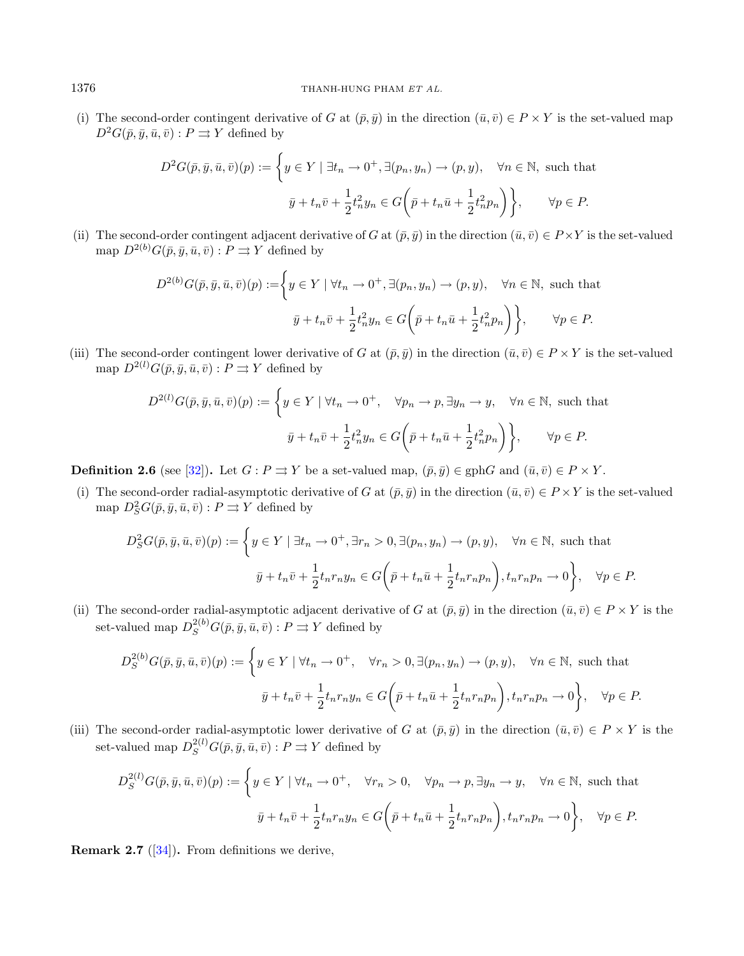(i) The second-order contingent derivative of G at  $(\bar{p}, \bar{y})$  in the direction  $(\bar{u}, \bar{v}) \in P \times Y$  is the set-valued map  $D^2G(\bar{p}, \bar{y}, \bar{u}, \bar{v}) : P \rightrightarrows Y$  defined by

$$
D^2 G(\bar{p}, \bar{y}, \bar{u}, \bar{v})(p) := \left\{ y \in Y \mid \exists t_n \to 0^+, \exists (p_n, y_n) \to (p, y), \quad \forall n \in \mathbb{N}, \text{ such that}
$$

$$
\bar{y} + t_n \bar{v} + \frac{1}{2} t_n^2 y_n \in G\left(\bar{p} + t_n \bar{u} + \frac{1}{2} t_n^2 p_n\right) \right\}, \qquad \forall p \in P.
$$

(ii) The second-order contingent adjacent derivative of G at  $(\bar{p}, \bar{q})$  in the direction  $(\bar{u}, \bar{v}) \in P \times Y$  is the set-valued map  $D^{2(b)}G(\bar{p},\bar{u},\bar{u},\bar{v}): P \rightrightarrows Y$  defined by

$$
D^{2(b)}G(\bar{p}, \bar{y}, \bar{u}, \bar{v})(p) := \left\{ y \in Y \mid \forall t_n \to 0^+, \exists (p_n, y_n) \to (p, y), \quad \forall n \in \mathbb{N}, \text{ such that}
$$

$$
\bar{y} + t_n \bar{v} + \frac{1}{2} t_n^2 y_n \in G\left(\bar{p} + t_n \bar{u} + \frac{1}{2} t_n^2 p_n\right) \right\}, \qquad \forall p \in P.
$$

(iii) The second-order contingent lower derivative of G at  $(\bar{p}, \bar{y})$  in the direction  $(\bar{u}, \bar{v}) \in P \times Y$  is the set-valued map  $D^{2(l)}G(\bar{p},\bar{y},\bar{u},\bar{v})$ :  $P \rightrightarrows Y$  defined by

$$
D^{2(l)}G(\bar{p}, \bar{y}, \bar{u}, \bar{v})(p) := \left\{ y \in Y \mid \forall t_n \to 0^+, \quad \forall p_n \to p, \exists y_n \to y, \quad \forall n \in \mathbb{N}, \text{ such that}
$$

$$
\bar{y} + t_n \bar{v} + \frac{1}{2}t_n^2 y_n \in G\left(\bar{p} + t_n \bar{u} + \frac{1}{2}t_n^2 p_n\right) \right\}, \qquad \forall p \in P.
$$

**Definition 2.6** (see [\[32\]](#page-22-6)). Let  $G : P \rightrightarrows Y$  be a set-valued map,  $(\bar{p}, \bar{y}) \in \text{gph } G$  and  $(\bar{u}, \bar{v}) \in P \times Y$ .

(i) The second-order radial-asymptotic derivative of G at  $(\bar{p}, \bar{y})$  in the direction  $(\bar{u}, \bar{v}) \in P \times Y$  is the set-valued map  $D_S^2G(\bar{p}, \bar{y}, \bar{u}, \bar{v}): P \rightrightarrows Y$  defined by

$$
D_S^2 G(\bar{p}, \bar{y}, \bar{u}, \bar{v})(p) := \left\{ y \in Y \mid \exists t_n \to 0^+, \exists r_n > 0, \exists (p_n, y_n) \to (p, y), \quad \forall n \in \mathbb{N}, \text{ such that } \bar{y} + t_n \bar{v} + \frac{1}{2} t_n r_n y_n \in G\bigg(\bar{p} + t_n \bar{u} + \frac{1}{2} t_n r_n p_n\bigg), t_n r_n p_n \to 0 \right\}, \quad \forall p \in P.
$$

(ii) The second-order radial-asymptotic adjacent derivative of G at  $(\bar{p}, \bar{y})$  in the direction  $(\bar{u}, \bar{v}) \in P \times Y$  is the set-valued map  $D_S^{2(b)}G(\bar{p}, \bar{y}, \bar{u}, \bar{v}) : P \rightrightarrows Y$  defined by

$$
D_S^{2(b)}G(\bar{p}, \bar{y}, \bar{u}, \bar{v})(p) := \left\{ y \in Y \mid \forall t_n \to 0^+, \quad \forall r_n > 0, \exists (p_n, y_n) \to (p, y), \quad \forall n \in \mathbb{N}, \text{ such that } \bar{y} + t_n \bar{v} + \frac{1}{2} t_n r_n y_n \in G\left(\bar{p} + t_n \bar{u} + \frac{1}{2} t_n r_n p_n\right), t_n r_n p_n \to 0 \right\}, \quad \forall p \in P.
$$

(iii) The second-order radial-asymptotic lower derivative of G at  $(\bar{p}, \bar{y})$  in the direction  $(\bar{u}, \bar{v}) \in P \times Y$  is the set-valued map  $D_S^{2(l)}G(\bar{p}, \bar{y}, \bar{u}, \bar{v}) : P \rightrightarrows Y$  defined by

$$
D_S^{2(l)}G(\bar{p}, \bar{y}, \bar{u}, \bar{v})(p) := \left\{ y \in Y \mid \forall t_n \to 0^+, \quad \forall r_n > 0, \quad \forall p_n \to p, \exists y_n \to y, \quad \forall n \in \mathbb{N}, \text{ such that}
$$

$$
\bar{y} + t_n \bar{v} + \frac{1}{2} t_n r_n y_n \in G\left(\bar{p} + t_n \bar{u} + \frac{1}{2} t_n r_n p_n\right), t_n r_n p_n \to 0 \right\}, \quad \forall p \in P.
$$

<span id="page-3-0"></span>**Remark 2.7** ([\[34\]](#page-22-14)). From definitions we derive,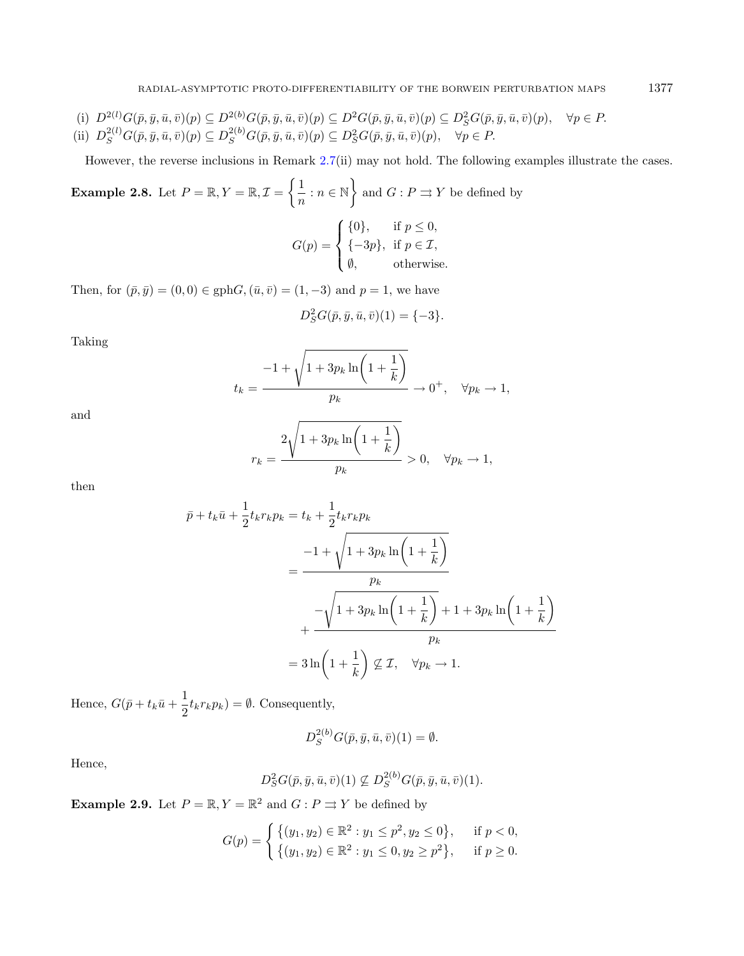- (i)  $D^{2(l)}G(\bar{p},\bar{y},\bar{u},\bar{v})(p) \subseteq D^{2(b)}G(\bar{p},\bar{y},\bar{u},\bar{v})(p) \subseteq D^{2}G(\bar{p},\bar{y},\bar{u},\bar{v})(p) \subseteq D^{2}_{S}G(\bar{p},\bar{y},\bar{u},\bar{v})(p), \quad \forall p \in P.$
- (ii)  $D_S^{2(l)}G(\bar{p}, \bar{y}, \bar{u}, \bar{v})(p) \subseteq D_S^{2(b)}G(\bar{p}, \bar{y}, \bar{u}, \bar{v})(p) \subseteq D_S^2G(\bar{p}, \bar{y}, \bar{u}, \bar{v})(p), \quad \forall p \in P.$

However, the reverse inclusions in Remark [2.7\(](#page-3-0)ii) may not hold. The following examples illustrate the cases.

**Example 2.8.** Let 
$$
P = \mathbb{R}, Y = \mathbb{R}, \mathcal{I} = \left\{ \frac{1}{n} : n \in \mathbb{N} \right\}
$$
 and  $G : P \Rightarrow Y$  be defined by  

$$
G(p) = \begin{cases} \{0\}, & \text{if } p \le 0, \\ \{-3p\}, & \text{if } p \in \mathcal{I}, \\ \emptyset, & \text{otherwise.} \end{cases}
$$

Then, for  $(\bar{p}, \bar{y}) = (0, 0) \in \text{gph}G, (\bar{u}, \bar{v}) = (1, -3)$  and  $p = 1$ , we have

$$
D_S^2 G(\bar{p}, \bar{y}, \bar{u}, \bar{v})(1) = \{-3\}.
$$

Taking

$$
t_k = \frac{-1 + \sqrt{1 + 3p_k \ln\left(1 + \frac{1}{k}\right)}}{p_k} \to 0^+, \quad \forall p_k \to 1,
$$

and

$$
r_k = \frac{2\sqrt{1 + 3p_k \ln\left(1 + \frac{1}{k}\right)}}{p_k} > 0, \quad \forall p_k \to 1,
$$

then

$$
\bar{p} + t_k \bar{u} + \frac{1}{2} t_k r_k p_k = t_k + \frac{1}{2} t_k r_k p_k
$$
\n
$$
= \frac{-1 + \sqrt{1 + 3p_k \ln\left(1 + \frac{1}{k}\right)}}{p_k}
$$
\n
$$
+ \frac{-\sqrt{1 + 3p_k \ln\left(1 + \frac{1}{k}\right)} + 1 + 3p_k \ln\left(1 + \frac{1}{k}\right)}{p_k}
$$
\n
$$
= 3 \ln\left(1 + \frac{1}{k}\right) \nsubseteq \mathcal{I}, \quad \forall p_k \to 1.
$$

Hence,  $G(\bar{p} + t_k \bar{u} + \frac{1}{2})$  $\frac{1}{2}t_kr_k p_k$  =  $\emptyset$ . Consequently,

$$
D_S^{2(b)}G(\bar{p},\bar{y},\bar{u},\bar{v})(1)=\emptyset.
$$

Hence,

$$
D_S^2 G(\bar{p}, \bar{y}, \bar{u}, \bar{v})(1) \not\subseteq D_S^{2(b)} G(\bar{p}, \bar{y}, \bar{u}, \bar{v})(1).
$$

**Example 2.9.** Let  $P = \mathbb{R}, Y = \mathbb{R}^2$  and  $G : P \rightrightarrows Y$  be defined by

$$
G(p) = \begin{cases} \{(y_1, y_2) \in \mathbb{R}^2 : y_1 \le p^2, y_2 \le 0\}, & \text{if } p < 0, \\ \{(y_1, y_2) \in \mathbb{R}^2 : y_1 \le 0, y_2 \ge p^2\}, & \text{if } p \ge 0. \end{cases}
$$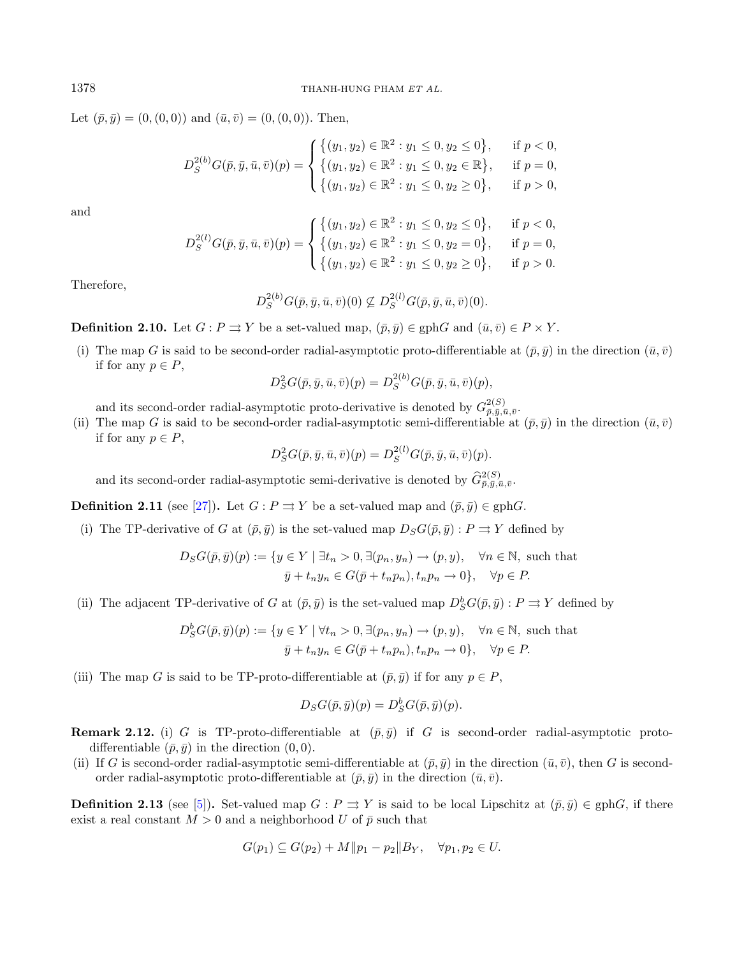Let  $(\bar{p}, \bar{y}) = (0, (0, 0))$  and  $(\bar{u}, \bar{v}) = (0, (0, 0))$ . Then,

$$
D_S^{2(b)}G(\bar{p}, \bar{y}, \bar{u}, \bar{v})(p) = \begin{cases} \{(y_1, y_2) \in \mathbb{R}^2 : y_1 \le 0, y_2 \le 0\}, & \text{if } p < 0, \\ \{(y_1, y_2) \in \mathbb{R}^2 : y_1 \le 0, y_2 \in \mathbb{R}\}, & \text{if } p = 0, \\ \{(y_1, y_2) \in \mathbb{R}^2 : y_1 \le 0, y_2 \ge 0\}, & \text{if } p > 0, \end{cases}
$$

and

$$
D_S^{2(l)}G(\bar{p}, \bar{y}, \bar{u}, \bar{v})(p) = \begin{cases} \{(y_1, y_2) \in \mathbb{R}^2 : y_1 \le 0, y_2 \le 0\}, & \text{if } p < 0, \\ \{(y_1, y_2) \in \mathbb{R}^2 : y_1 \le 0, y_2 = 0\}, & \text{if } p = 0, \\ \{(y_1, y_2) \in \mathbb{R}^2 : y_1 \le 0, y_2 \ge 0\}, & \text{if } p > 0. \end{cases}
$$

Therefore,

$$
D_{S}^{2(b)}G(\bar{p},\bar{y},\bar{u},\bar{v})(0) \nsubseteq D_{S}^{2(l)}G(\bar{p},\bar{y},\bar{u},\bar{v})(0).
$$

**Definition 2.10.** Let  $G: P \rightrightarrows Y$  be a set-valued map,  $(\bar{p}, \bar{y}) \in \text{gph}G$  and  $(\bar{u}, \bar{v}) \in P \times Y$ .

(i) The map G is said to be second-order radial-asymptotic proto-differentiable at  $(\bar{p}, \bar{y})$  in the direction  $(\bar{u}, \bar{v})$ if for any  $p \in P$ ,

$$
D_S^2 G(\bar{p}, \bar{y}, \bar{u}, \bar{v})(p) = D_S^{2(b)} G(\bar{p}, \bar{y}, \bar{u}, \bar{v})(p),
$$

and its second-order radial-asymptotic proto-derivative is denoted by  $G_{\bar{p},\bar{y},\bar{u},\bar{v}}^{2(S)}$ .

(ii) The map G is said to be second-order radial-asymptotic semi-differentiable at  $(\bar{p}, \bar{y})$  in the direction  $(\bar{u}, \bar{v})$ if for any  $p \in P$ ,

$$
D_S^2 G(\bar{p}, \bar{y}, \bar{u}, \bar{v})(p) = D_S^{2(l)} G(\bar{p}, \bar{y}, \bar{u}, \bar{v})(p).
$$

and its second-order radial-asymptotic semi-derivative is denoted by  $\hat{G}^{2(S)}_{\bar{p},\bar{y},\bar{u},\bar{v}}$ .

**Definition 2.11** (see [\[27\]](#page-22-3)). Let  $G : P \rightrightarrows Y$  be a set-valued map and  $(\bar{p}, \bar{y}) \in \text{gph}G$ .

(i) The TP-derivative of G at  $(\bar{p}, \bar{y})$  is the set-valued map  $D_S G(\bar{p}, \bar{y}) : P \rightrightarrows Y$  defined by

$$
D_S G(\bar{p}, \bar{y})(p) := \{ y \in Y \mid \exists t_n > 0, \exists (p_n, y_n) \to (p, y), \forall n \in \mathbb{N}, \text{ such that}
$$
  

$$
\bar{y} + t_n y_n \in G(\bar{p} + t_n p_n), t_n p_n \to 0 \}, \forall p \in P.
$$

(ii) The adjacent TP-derivative of G at  $(\bar{p}, \bar{y})$  is the set-valued map  $D_S^bG(\bar{p}, \bar{y}) : P \rightrightarrows Y$  defined by

$$
D_S^b G(\bar{p}, \bar{y})(p) := \{ y \in Y \mid \forall t_n > 0, \exists (p_n, y_n) \to (p, y), \quad \forall n \in \mathbb{N}, \text{ such that}
$$
  

$$
\bar{y} + t_n y_n \in G(\bar{p} + t_n p_n), t_n p_n \to 0 \}, \quad \forall p \in P.
$$

(iii) The map G is said to be TP-proto-differentiable at  $(\bar{p}, \bar{y})$  if for any  $p \in P$ ,

$$
D_S G(\bar{p}, \bar{y})(p) = D_S^b G(\bar{p}, \bar{y})(p).
$$

- **Remark 2.12.** (i) G is TP-proto-differentiable at  $(\bar{p}, \bar{y})$  if G is second-order radial-asymptotic protodifferentiable  $(\bar{p}, \bar{y})$  in the direction  $(0, 0)$ .
- (ii) If G is second-order radial-asymptotic semi-differentiable at  $(\bar{p}, \bar{y})$  in the direction  $(\bar{u}, \bar{v})$ , then G is secondorder radial-asymptotic proto-differentiable at  $(\bar{p}, \bar{y})$  in the direction  $(\bar{u}, \bar{v})$ .

**Definition 2.13** (see [\[5\]](#page-21-21)). Set-valued map  $G : P \rightrightarrows Y$  is said to be local Lipschitz at  $(\bar{p}, \bar{y}) \in \text{gph}G$ , if there exist a real constant  $M > 0$  and a neighborhood U of  $\bar{p}$  such that

$$
G(p_1) \subseteq G(p_2) + M || p_1 - p_2 || B_Y, \quad \forall p_1, p_2 \in U.
$$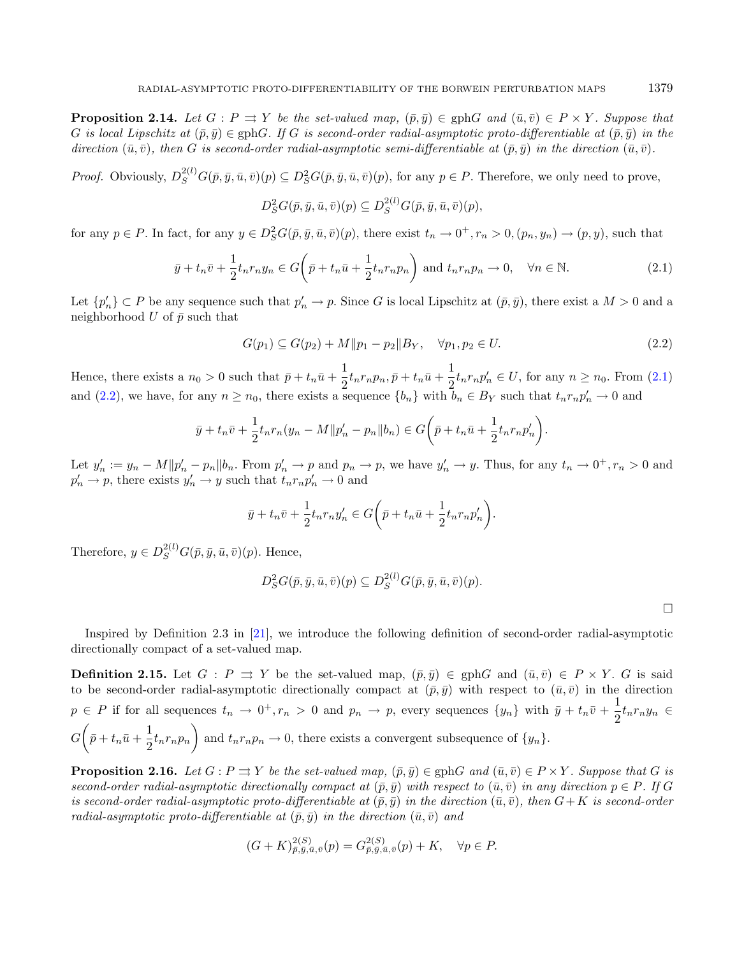**Proposition 2.14.** Let  $G : P \rightrightarrows Y$  be the set-valued map,  $(\bar{p}, \bar{y}) \in \text{gph}G$  and  $(\bar{u}, \bar{v}) \in P \times Y$ . Suppose that G is local Lipschitz at  $(\bar{p}, \bar{q}) \in \text{gph}G$ . If G is second-order radial-asymptotic proto-differentiable at  $(\bar{p}, \bar{q})$  in the direction  $(\bar{u}, \bar{v})$ , then G is second-order radial-asymptotic semi-differentiable at  $(\bar{p}, \bar{y})$  in the direction  $(\bar{u}, \bar{v})$ .

*Proof.* Obviously,  $D_S^{2(l)}G(\bar{p}, \bar{y}, \bar{u}, \bar{v})(p) \subseteq D_S^2G(\bar{p}, \bar{y}, \bar{u}, \bar{v})(p)$ , for any  $p \in P$ . Therefore, we only need to prove,

<span id="page-6-1"></span><span id="page-6-0"></span>
$$
D_S^2 G(\bar{p}, \bar{y}, \bar{u}, \bar{v})(p) \subseteq D_S^{2(l)} G(\bar{p}, \bar{y}, \bar{u}, \bar{v})(p),
$$

for any  $p \in P$ . In fact, for any  $y \in D_S^2G(\bar{p}, \bar{y}, \bar{u}, \bar{v})(p)$ , there exist  $t_n \to 0^+, r_n > 0, (p_n, y_n) \to (p, y)$ , such that

$$
\bar{y} + t_n \bar{v} + \frac{1}{2} t_n r_n y_n \in G\left(\bar{p} + t_n \bar{u} + \frac{1}{2} t_n r_n p_n\right) \text{ and } t_n r_n p_n \to 0, \quad \forall n \in \mathbb{N}.
$$
\n(2.1)

Let  $\{p'_n\} \subset P$  be any sequence such that  $p'_n \to p$ . Since G is local Lipschitz at  $(\bar{p}, \bar{y})$ , there exist a  $M > 0$  and a neighborhood  $U$  of  $\bar{p}$  such that

$$
G(p_1) \subseteq G(p_2) + M ||p_1 - p_2||B_Y, \quad \forall p_1, p_2 \in U.
$$
\n(2.2)

Hence, there exists a  $n_0 > 0$  such that  $\bar{p} + t_n \bar{u} + \frac{1}{2}$  $\frac{1}{2} t_n r_n p_n, \bar{p} + t_n \bar{u} + \frac{1}{2}$  $\frac{1}{2}t_n r_n p'_n \in U$ , for any  $n \geq n_0$ . From [\(2.1\)](#page-6-0) and [\(2.2\)](#page-6-1), we have, for any  $n \ge n_0$ , there exists a sequence  $\{b_n\}$  with  $\bar{b}_n \in B_Y$  such that  $t_n r_n p'_n \to 0$  and

$$
\bar{y} + t_n \bar{v} + \frac{1}{2} t_n r_n (y_n - M || p'_n - p_n || b_n) \in G\left(\bar{p} + t_n \bar{u} + \frac{1}{2} t_n r_n p'_n\right).
$$

Let  $y'_n := y_n - M||p'_n - p_n||b_n$ . From  $p'_n \to p$  and  $p_n \to p$ , we have  $y'_n \to y$ . Thus, for any  $t_n \to 0^+, r_n > 0$  and  $p'_n \to p$ , there exists  $y'_n \to y$  such that  $t_n r_n p'_n \to 0$  and

$$
\bar{y} + t_n \bar{v} + \frac{1}{2} t_n r_n y_n' \in G\bigg(\bar{p} + t_n \bar{u} + \frac{1}{2} t_n r_n p_n'\bigg).
$$

Therefore,  $y \in D_S^{2(l)}G(\bar{p}, \bar{y}, \bar{u}, \bar{v})(p)$ . Hence,

$$
D_S^2G(\bar{p},\bar{y},\bar{u},\bar{v})(p)\subseteq D_S^{2(l)}G(\bar{p},\bar{y},\bar{u},\bar{v})(p).
$$

Inspired by Definition 2.3 in [\[21\]](#page-21-8), we introduce the following definition of second-order radial-asymptotic directionally compact of a set-valued map.

**Definition 2.15.** Let  $G : P \rightrightarrows Y$  be the set-valued map,  $(\bar{p}, \bar{y}) \in \text{gph } G$  and  $(\bar{u}, \bar{v}) \in P \times Y$ . G is said to be second-order radial-asymptotic directionally compact at  $(\bar{p}, \bar{y})$  with respect to  $(\bar{u}, \bar{v})$  in the direction  $p \in P$  if for all sequences  $t_n \to 0^+, r_n > 0$  and  $p_n \to p$ , every sequences  $\{y_n\}$  with  $\bar{y} + t_n \bar{v} + \frac{1}{2}$  $\frac{1}{2}t_nr_ny_n \in$  $G\bigg(\bar{p}+t_n\bar{u}+\frac{1}{2}\bigg)$  $\frac{1}{2}t_nr_np_n$  and  $t_nr_np_n \to 0$ , there exists a convergent subsequence of  $\{y_n\}$ .

<span id="page-6-2"></span>**Proposition 2.16.** Let  $G : P \rightrightarrows Y$  be the set-valued map,  $(\bar{p}, \bar{y}) \in \text{gph}G$  and  $(\bar{u}, \bar{v}) \in P \times Y$ . Suppose that G is second-order radial-asymptotic directionally compact at  $(\bar{p}, \bar{y})$  with respect to  $(\bar{u}, \bar{v})$  in any direction  $p \in P$ . If G is second-order radial-asymptotic proto-differentiable at  $(\bar{p}, \bar{q})$  in the direction  $(\bar{u}, \bar{v})$ , then  $G + K$  is second-order radial-asymptotic proto-differentiable at  $(\bar{p}, \bar{y})$  in the direction  $(\bar{u}, \bar{v})$  and

$$
(G+K)^{2(S)}_{\bar{p},\bar{y},\bar{u},\bar{v}}(p) = G^{2(S)}_{\bar{p},\bar{y},\bar{u},\bar{v}}(p) + K, \quad \forall p \in P.
$$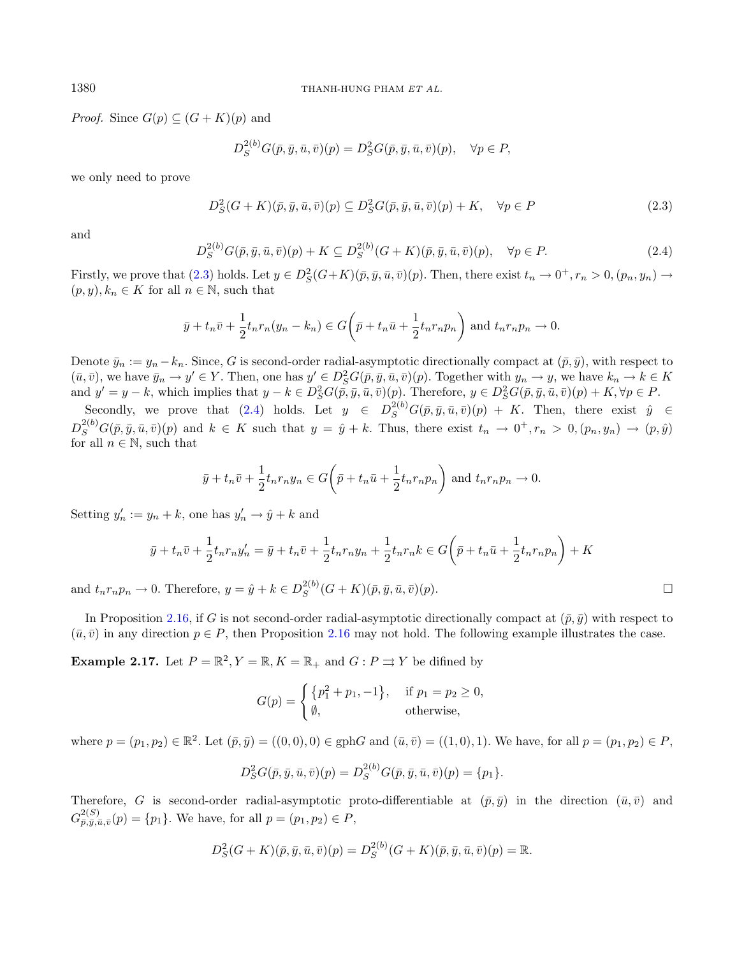*Proof.* Since  $G(p) \subseteq (G + K)(p)$  and

<span id="page-7-0"></span>
$$
D_S^{2(b)}G(\bar{p}, \bar{y}, \bar{u}, \bar{v})(p) = D_S^2G(\bar{p}, \bar{y}, \bar{u}, \bar{v})(p), \quad \forall p \in P,
$$

we only need to prove

$$
D_S^2(G+K)(\bar{p},\bar{y},\bar{u},\bar{v})(p) \subseteq D_S^2G(\bar{p},\bar{y},\bar{u},\bar{v})(p) + K, \quad \forall p \in P
$$
\n
$$
(2.3)
$$

and

$$
D_S^{2(b)}G(\bar{p}, \bar{y}, \bar{u}, \bar{v})(p) + K \subseteq D_S^{2(b)}(G+K)(\bar{p}, \bar{y}, \bar{u}, \bar{v})(p), \quad \forall p \in P.
$$
 (2.4)

Firstly, we prove that  $(2.3)$  holds. Let  $y \in D_S^2(G+K)(\bar{p}, \bar{y}, \bar{u}, \bar{v})(p)$ . Then, there exist  $t_n \to 0^+, r_n > 0, (p_n, y_n) \to$  $(p, y), k_n \in K$  for all  $n \in \mathbb{N}$ , such that

$$
\bar{y} + t_n \bar{v} + \frac{1}{2} t_n r_n (y_n - k_n) \in G\left(\bar{p} + t_n \bar{u} + \frac{1}{2} t_n r_n p_n\right)
$$
 and  $t_n r_n p_n \to 0$ .

Denote  $\bar{y}_n := y_n - k_n$ . Since, G is second-order radial-asymptotic directionally compact at  $(\bar{p}, \bar{y})$ , with respect to  $(\bar{u}, \bar{v})$ , we have  $\bar{y}_n \to y' \in Y$ . Then, one has  $y' \in D_S^2G(\bar{p}, \bar{y}, \bar{u}, \bar{v})(p)$ . Together with  $y_n \to y$ , we have  $k_n \to k \in K$ and  $y' = y - k$ , which implies that  $y - k \in D_S^2G(\bar{p}, \bar{y}, \bar{u}, \bar{v})(p)$ . Therefore,  $y \in D_S^2G(\bar{p}, \bar{y}, \bar{u}, \bar{v})(p) + K$ ,  $\forall p \in P$ .

Secondly, we prove that [\(2.4\)](#page-7-1) holds. Let  $y \in D_S^{2(b)}G(\bar{p},\bar{y},\bar{u},\bar{v})(p) + K$ . Then, there exist  $\hat{y} \in$  $D_S^{2(b)}G(\bar{p},\bar{y},\bar{u},\bar{v})(p)$  and  $k \in K$  such that  $y = \hat{y} + k$ . Thus, there exist  $t_n \to 0^+, r_n > 0, (p_n, y_n) \to (p, \hat{y})$ for all  $n \in \mathbb{N}$ , such that

$$
\bar{y} + t_n \bar{v} + \frac{1}{2} t_n r_n y_n \in G\left(\bar{p} + t_n \bar{u} + \frac{1}{2} t_n r_n p_n\right)
$$
 and  $t_n r_n p_n \to 0$ .

Setting  $y'_n := y_n + k$ , one has  $y'_n \to \hat{y} + k$  and

$$
\bar{y} + t_n \bar{v} + \frac{1}{2} t_n r_n y_n' = \bar{y} + t_n \bar{v} + \frac{1}{2} t_n r_n y_n + \frac{1}{2} t_n r_n k \in G\left(\bar{p} + t_n \bar{u} + \frac{1}{2} t_n r_n p_n\right) + K
$$

and  $t_n r_n p_n \to 0$ . Therefore,  $y = \hat{y} + k \in D_S^{2(b)}$  $_{S}^{2(b)}(G+K)(\bar{p}, \bar{y}, \bar{u}, \bar{v})(p).$ 

In Proposition [2.16,](#page-6-2) if G is not second-order radial-asymptotic directionally compact at  $(\bar{p}, \bar{y})$  with respect to  $(\bar{u}, \bar{v})$  in any direction  $p \in P$ , then Proposition [2.16](#page-6-2) may not hold. The following example illustrates the case.

**Example 2.17.** Let  $P = \mathbb{R}^2$ ,  $Y = \mathbb{R}$ ,  $K = \mathbb{R}_+$  and  $G : P \rightrightarrows Y$  be difined by

$$
G(p) = \begin{cases} \{p_1^2 + p_1, -1\}, & \text{if } p_1 = p_2 \ge 0, \\ \emptyset, & \text{otherwise,} \end{cases}
$$

where  $p = (p_1, p_2) \in \mathbb{R}^2$ . Let  $(\bar{p}, \bar{y}) = ((0, 0), 0) \in \text{gph}G$  and  $(\bar{u}, \bar{v}) = ((1, 0), 1)$ . We have, for all  $p = (p_1, p_2) \in P$ ,

$$
D_S^2 G(\bar{p}, \bar{y}, \bar{u}, \bar{v})(p) = D_S^{2(b)} G(\bar{p}, \bar{y}, \bar{u}, \bar{v})(p) = \{p_1\}.
$$

Therefore, G is second-order radial-asymptotic proto-differentiable at  $(\bar{p}, \bar{y})$  in the direction  $(\bar{u}, \bar{v})$  and  $G_{\bar{p},\bar{y},\bar{u},\bar{v}}^{2(S)}(p) = \{p_1\}.$  We have, for all  $p = (p_1, p_2) \in P$ ,

$$
D_S^2(G+K)(\bar{p}, \bar{y}, \bar{u}, \bar{v})(p) = D_S^{2(b)}(G+K)(\bar{p}, \bar{y}, \bar{u}, \bar{v})(p) = \mathbb{R}.
$$

<span id="page-7-1"></span>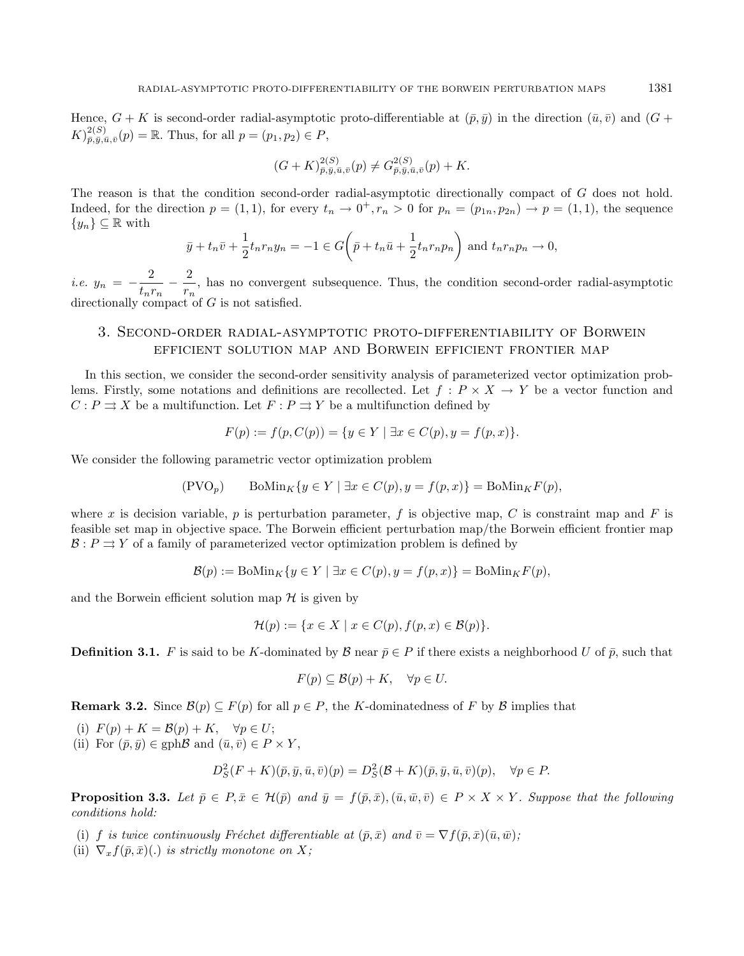Hence,  $G + K$  is second-order radial-asymptotic proto-differentiable at  $(\bar{p}, \bar{y})$  in the direction  $(\bar{u}, \bar{v})$  and  $(G +$  $(K)_{\bar{p},\bar{y},\bar{u},\bar{v}}^{2(S)}(p) = \mathbb{R}$ . Thus, for all  $p = (p_1, p_2) \in P$ ,

$$
(G+K)^{2(S)}_{\bar{p},\bar{y},\bar{u},\bar{v}}(p) \neq G^{2(S)}_{\bar{p},\bar{y},\bar{u},\bar{v}}(p) + K.
$$

The reason is that the condition second-order radial-asymptotic directionally compact of  $G$  does not hold. Indeed, for the direction  $p = (1, 1)$ , for every  $t_n \to 0^+, r_n > 0$  for  $p_n = (p_{1n}, p_{2n}) \to p = (1, 1)$ , the sequence  ${y_n}\subseteq \mathbb{R}$  with

$$
\bar{y} + t_n \bar{v} + \frac{1}{2} t_n r_n y_n = -1 \in G\left(\bar{p} + t_n \bar{u} + \frac{1}{2} t_n r_n p_n\right) \text{ and } t_n r_n p_n \to 0,
$$

i.e.  $y_n = -\frac{2}{1-x}$  $\frac{2}{t_nr_n} - \frac{2}{r_n}$  $\frac{1}{r_n}$ , has no convergent subsequence. Thus, the condition second-order radial-asymptotic directionally compact of  $G$  is not satisfied.

# <span id="page-8-0"></span>3. Second-order radial-asymptotic proto-differentiability of Borwein efficient solution map and Borwein efficient frontier map

In this section, we consider the second-order sensitivity analysis of parameterized vector optimization problems. Firstly, some notations and definitions are recollected. Let  $f : P \times X \to Y$  be a vector function and  $C: P \rightrightarrows X$  be a multifunction. Let  $F: P \rightrightarrows Y$  be a multifunction defined by

$$
F(p) := f(p, C(p)) = \{ y \in Y \mid \exists x \in C(p), y = f(p, x) \}.
$$

We consider the following parametric vector optimization problem

$$
(\text{PVO}_p) \qquad \text{BoMin}_K \{ y \in Y \mid \exists x \in C(p), y = f(p, x) \} = \text{BoMin}_K F(p),
$$

where x is decision variable,  $p$  is perturbation parameter,  $f$  is objective map,  $C$  is constraint map and  $F$  is feasible set map in objective space. The Borwein efficient perturbation map/the Borwein efficient frontier map  $\mathcal{B}: P \rightrightarrows Y$  of a family of parameterized vector optimization problem is defined by

$$
\mathcal{B}(p) := \text{BoMin}_{K} \{ y \in Y \mid \exists x \in C(p), y = f(p, x) \} = \text{BoMin}_{K} F(p),
$$

and the Borwein efficient solution map  $\mathcal H$  is given by

$$
\mathcal{H}(p) := \{ x \in X \mid x \in C(p), f(p, x) \in \mathcal{B}(p) \}.
$$

**Definition 3.1.** F is said to be K-dominated by  $\mathcal{B}$  near  $\bar{p} \in P$  if there exists a neighborhood U of  $\bar{p}$ , such that

$$
F(p) \subseteq \mathcal{B}(p) + K, \quad \forall p \in U.
$$

**Remark 3.2.** Since  $\mathcal{B}(p) \subseteq F(p)$  for all  $p \in P$ , the K-dominatedness of F by  $\beta$  implies that

(i)  $F(p) + K = \mathcal{B}(p) + K$ ,  $\forall p \in U$ ; (ii) For  $(\bar{p}, \bar{q}) \in \text{gph}\mathcal{B}$  and  $(\bar{u}, \bar{v}) \in P \times Y$ .

$$
\sum_{i=1}^{n} \frac{1}{i} \sum_{j=1}^{n} \sum_{i=1}^{n} \frac{1}{i} \sum_{i=1}^{n} \frac{1}{i} \sum_{j=1}^{n} \frac{1}{i} \sum_{j=1}^{n} \frac{1}{i} \sum_{j=1}^{n} \frac{1}{i} \sum_{j=1}^{n} \frac{1}{i} \sum_{j=1}^{n} \frac{1}{i} \sum_{j=1}^{n} \frac{1}{i} \sum_{j=1}^{n} \frac{1}{i} \sum_{j=1}^{n} \frac{1}{i} \sum_{j=1}^{n} \frac{1}{i} \sum_{j=1}^{n} \frac{1}{i} \sum_{j=1}^{n} \frac{1}{i} \sum_{j=1}^{n} \frac{1}{i} \sum_{j=1}^{n} \frac{1}{i} \sum_{j=1}^{n} \frac{1}{i} \sum_{j=1}^{n} \frac{1}{i} \sum_{j=1}^{n} \frac{1}{i} \sum_{j=1}^{n} \frac{1}{i} \sum_{j=1}^{n} \frac{1}{i} \sum_{j=1}^{n} \frac{1}{i} \sum_{j=1}^{n} \frac{1}{i} \sum_{j=1}^{n} \frac{1}{i} \sum_{j=1}^{n} \frac{1}{i} \sum_{j=1}^{n} \frac{1}{i} \sum_{j=1}^{n} \frac{1}{i} \sum_{j=1}^{n} \frac{1}{i} \sum_{j=1}^{n} \frac{1}{i} \sum_{j=1}^{n} \frac{1}{i} \sum_{j=1}^{n} \frac{1}{i} \sum_{j=1}^{n} \frac{1}{i} \sum_{j=1}^{n} \frac{1}{i} \sum_{j=1}^{n} \frac{1}{i} \sum_{j=1}^{n} \frac{1}{i} \sum_{j=1}^{n} \frac{1}{i} \sum_{j=1}^{n} \frac{1}{i} \sum_{j=1}^{n} \frac{1}{i} \sum_{j=1}^{n} \frac{1}{i} \sum_{j=1}^{n} \frac{1}{i} \sum_{j=1}^{n} \frac{1}{i} \sum_{j=1}^{n} \frac{1}{i} \sum_{j=1}^{n} \frac{1}{i} \sum_{j=1}^{n} \frac{1}{i} \sum
$$

$$
D_S^2(F+K)(\bar{p}, \bar{y}, \bar{u}, \bar{v})(p) = D_S^2(\mathcal{B} + K)(\bar{p}, \bar{y}, \bar{u}, \bar{v})(p), \quad \forall p \in P.
$$

<span id="page-8-1"></span>**Proposition 3.3.** Let  $\bar{p} \in P$ ,  $\bar{x} \in H(\bar{p})$  and  $\bar{y} = f(\bar{p}, \bar{x})$ ,  $(\bar{u}, \bar{w}, \bar{v}) \in P \times X \times Y$ . Suppose that the following conditions hold:

- (i) f is twice continuously Fréchet differentiable at  $(\bar{p}, \bar{x})$  and  $\bar{v} = \nabla f(\bar{p}, \bar{x})(\bar{u}, \bar{w})$ ;
- (ii)  $\nabla_x f(\bar{p}, \bar{x})$ (.) is strictly monotone on X;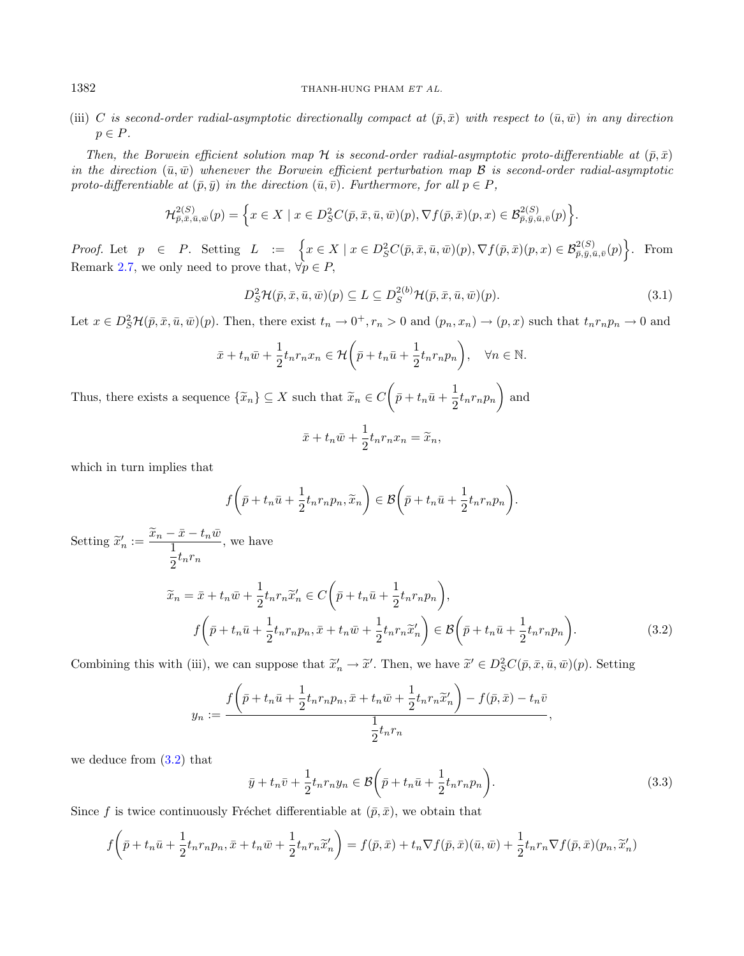#### 1382 THANH-HUNG PHAM ET AL.

(iii) C is second-order radial-asymptotic directionally compact at  $(\bar{p}, \bar{x})$  with respect to  $(\bar{u}, \bar{w})$  in any direction  $p \in P$ .

Then, the Borwein efficient solution map H is second-order radial-asymptotic proto-differentiable at  $(\bar{p}, \bar{x})$ in the direction  $(\bar{u}, \bar{w})$  whenever the Borwein efficient perturbation map  $\mathcal B$  is second-order radial-asymptotic proto-differentiable at  $(\bar{p}, \bar{y})$  in the direction  $(\bar{u}, \bar{v})$ . Furthermore, for all  $p \in P$ ,

<span id="page-9-2"></span>
$$
\mathcal{H}^{2(S)}_{\bar{p},\bar{x},\bar{u},\bar{w}}(p) = \left\{ x \in X \mid x \in D^2_S C(\bar{p},\bar{x},\bar{u},\bar{w})(p), \nabla f(\bar{p},\bar{x})(p,x) \in \mathcal{B}^{2(S)}_{\bar{p},\bar{y},\bar{u},\bar{v}}(p) \right\}.
$$

Proof. Let  $p \in P$ . Setting  $L := \left\{ x \in X \mid x \in D^2_{S}C(\bar{p}, \bar{x}, \bar{u}, \bar{w})(p), \nabla f(\bar{p}, \bar{x})(p, x) \in \mathcal{B}^{2(S)}_{\bar{p}, \bar{y}, \bar{u}, \bar{v}}(p) \right\}$ . From Remark [2.7,](#page-3-0) we only need to prove that,  $\forall p \in P$ ,

$$
D_S^2 \mathcal{H}(\bar{p}, \bar{x}, \bar{u}, \bar{w})(p) \subseteq L \subseteq D_S^{2(b)} \mathcal{H}(\bar{p}, \bar{x}, \bar{u}, \bar{w})(p). \tag{3.1}
$$

Let  $x \in D_S^2\mathcal{H}(\bar{p}, \bar{x}, \bar{u}, \bar{w})(p)$ . Then, there exist  $t_n \to 0^+, r_n > 0$  and  $(p_n, x_n) \to (p, x)$  such that  $t_n r_n p_n \to 0$  and

$$
\bar{x} + t_n \bar{w} + \frac{1}{2} t_n r_n x_n \in \mathcal{H} \left( \bar{p} + t_n \bar{u} + \frac{1}{2} t_n r_n p_n \right), \quad \forall n \in \mathbb{N}.
$$

Thus, there exists a sequence  $\{\widetilde{x}_n\} \subseteq X$  such that  $\widetilde{x}_n \in C\left(\bar{p} + t_n\bar{u} + \frac{1}{2}\right)$  $\frac{1}{2} t_n r_n p_n$  and

<span id="page-9-0"></span>
$$
\bar{x} + t_n \bar{w} + \frac{1}{2} t_n r_n x_n = \widetilde{x}_n,
$$

which in turn implies that

<span id="page-9-1"></span>
$$
f\bigg(\bar{p}+t_n\bar{u}+\frac{1}{2}t_nr_np_n,\widetilde{x}_n\bigg)\in\mathcal{B}\bigg(\bar{p}+t_n\bar{u}+\frac{1}{2}t_nr_np_n\bigg).
$$

Setting  $\widetilde{x}'_n := \frac{\widetilde{x}_n - \bar{x} - t_n \bar{w}}{1 + \bar{x}}$  $\frac{1}{2}t_nr_n$ , we have  $\widetilde{x}_n = \bar{x} + t_n \bar{w} + \frac{1}{2}$  $rac{1}{2}t_nr_n\widetilde{x}'_n \in C\bigg(\bar{p}+t_n\bar{u}+\frac{1}{2}\bigg)$  $\frac{1}{2}t_nr_np_n\bigg),$  $f\left(\bar{p}+t_n\bar{u}+\frac{1}{2}\right)$  $\frac{1}{2}t_nr_np_n, \bar{x}+t_n\bar{w}+\frac{1}{2}$  $rac{1}{2}t_nr_n\widetilde{x}_n'$  $\Big\}\in\mathcal{B}\bigg(\bar{p}+t_n\bar{u}+\frac{1}{2}\bigg)$  $\frac{1}{2} t_n r_n p_n\bigg)$  $(3.2)$ 

Combining this with (iii), we can suppose that  $\tilde{x}'_n \to \tilde{x}'$ . Then, we have  $\tilde{x}' \in D^2_S C(\bar{p}, \bar{x}, \bar{u}, \bar{w})(p)$ . Setting

$$
y_n := \frac{f\left(\bar{p} + t_n\bar{u} + \frac{1}{2}t_nr_np_n, \bar{x} + t_n\bar{w} + \frac{1}{2}t_nr_n\widetilde{x}'_n\right) - f(\bar{p}, \bar{x}) - t_n\bar{v}}{\frac{1}{2}t_nr_n},
$$

we deduce from [\(3.2\)](#page-9-0) that

$$
\bar{y} + t_n \bar{v} + \frac{1}{2} t_n r_n y_n \in \mathcal{B}\left(\bar{p} + t_n \bar{u} + \frac{1}{2} t_n r_n p_n\right).
$$
\n(3.3)

Since f is twice continuously Fréchet differentiable at  $(\bar{p}, \bar{x})$ , we obtain that

$$
f\left(\bar{p}+t_n\bar{u}+\frac{1}{2}t_nr_np_n,\bar{x}+t_n\bar{w}+\frac{1}{2}t_nr_n\widetilde{x}'_n\right)=f(\bar{p},\bar{x})+t_n\nabla f(\bar{p},\bar{x})(\bar{u},\bar{w})+\frac{1}{2}t_nr_n\nabla f(\bar{p},\bar{x})(p_n,\widetilde{x}'_n)
$$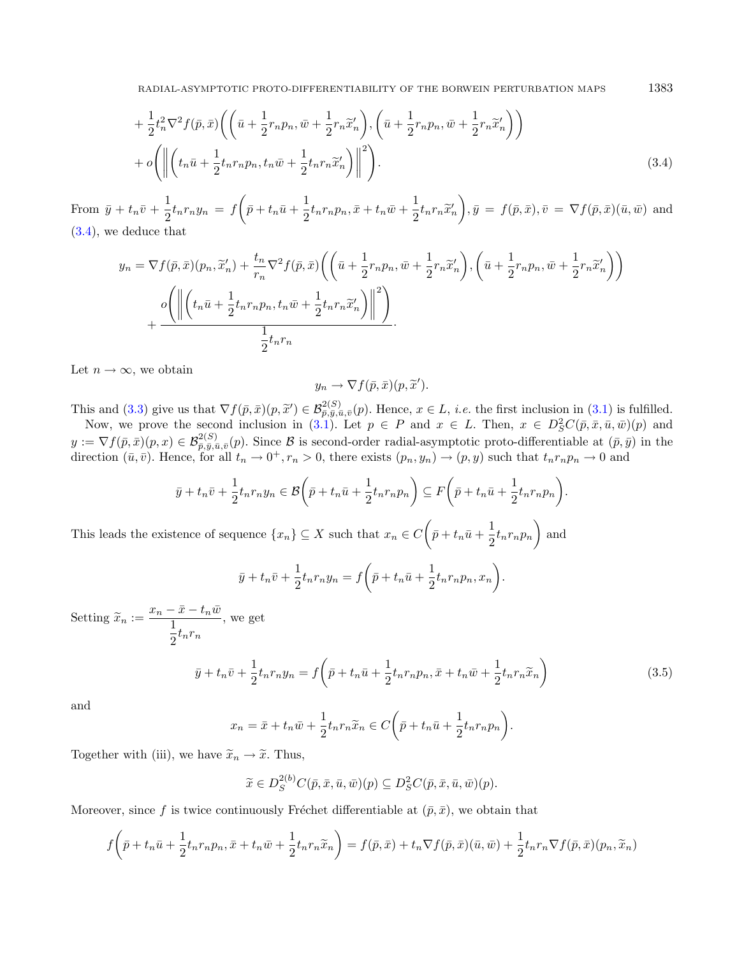$$
+\frac{1}{2}t_n^2\nabla^2 f(\bar{p},\bar{x})\left(\left(\bar{u}+\frac{1}{2}r_n p_n,\bar{w}+\frac{1}{2}r_n\widetilde{x}_n'\right),\left(\bar{u}+\frac{1}{2}r_n p_n,\bar{w}+\frac{1}{2}r_n\widetilde{x}_n'\right)\right) +o\left(\left\|\left(t_n\bar{u}+\frac{1}{2}t_n r_n p_n,t_n\bar{w}+\frac{1}{2}t_n r_n\widetilde{x}_n'\right)\right\|^2\right).
$$
\n(3.4)

From  $\bar{y} + t_n \bar{v} + \frac{1}{2}$  $\frac{1}{2}t_nr_ny_n = f\bigg(\bar{p} + t_n\bar{u} + \frac{1}{2}\bigg)$  $\frac{1}{2}t_nr_np_n, \bar{x}+t_n\bar{w}+\frac{1}{2}$  $rac{1}{2}t_nr_n\widetilde{x}_n'$  $\Big), \bar{y} = f(\bar{p}, \bar{x}), \bar{v} = \nabla f(\bar{p}, \bar{x}) (\bar{u}, \bar{w})$  and [\(3.4\)](#page-10-0), we deduce that

$$
y_n = \nabla f(\bar{p}, \bar{x})(p_n, \tilde{x}_n') + \frac{t_n}{r_n} \nabla^2 f(\bar{p}, \bar{x}) \left( \left( \bar{u} + \frac{1}{2} r_n p_n, \bar{w} + \frac{1}{2} r_n \tilde{x}_n' \right), \left( \bar{u} + \frac{1}{2} r_n p_n, \bar{w} + \frac{1}{2} r_n \tilde{x}_n' \right) \right) + \frac{o \left( \left\| \left( t_n \bar{u} + \frac{1}{2} t_n r_n p_n, t_n \bar{w} + \frac{1}{2} t_n r_n \tilde{x}_n' \right) \right\|^2 \right)}{\frac{1}{2} t_n r_n}.
$$

Let  $n \to \infty$ , we obtain

<span id="page-10-1"></span><span id="page-10-0"></span> $y_n \to \nabla f(\bar{p}, \bar{x})(p, \widetilde{x}').$ 

This and [\(3.3\)](#page-9-1) give us that  $\nabla f(\bar{p}, \bar{x})(p, \tilde{x}') \in \mathcal{B}_{\bar{p}, \bar{y}, \bar{q}, \bar{q}}^{2(S)}(p)$ . Hence,  $x \in L$ , *i.e.* the first inclusion in [\(3.1\)](#page-9-2) is fulfilled.<br>Now we prove the second inclusion in (3.1) Let  $p \in R$  and  $x \in L$ . The

Now, we prove the second inclusion in [\(3.1\)](#page-9-2). Let  $p \in P$  and  $x \in L$ . Then,  $x \in D_S^2C(\bar{p}, \bar{x}, \bar{u}, \bar{w})(p)$  and  $y := \nabla f(\bar{p}, \bar{x})(p, x) \in \mathcal{B}_{\bar{p}, \bar{y}, \bar{u}, \bar{v}}^{2(S)}(p)$ . Since B is second-order radial-asymptotic proto-differentiable at  $(\bar{p}, \bar{y})$  in the direction  $(\bar{u}, \bar{v})$ . Hence, for all  $t_n \to 0^+, r_n > 0$ , there exists  $(p_n, y_n) \to (p, y)$  such that  $t_n r_n p_n \to 0$  and

$$
\bar{y} + t_n \bar{v} + \frac{1}{2} t_n r_n y_n \in \mathcal{B}\left(\bar{p} + t_n \bar{u} + \frac{1}{2} t_n r_n p_n\right) \subseteq F\left(\bar{p} + t_n \bar{u} + \frac{1}{2} t_n r_n p_n\right).
$$

This leads the existence of sequence  $\{x_n\} \subseteq X$  such that  $x_n \in C$   $(p + t_n\bar{u} + \frac{1}{2})$  $\frac{1}{2} t_n r_n p_n$  and

$$
\bar{y} + t_n \bar{v} + \frac{1}{2} t_n r_n y_n = f\left(\bar{p} + t_n \bar{u} + \frac{1}{2} t_n r_n p_n, x_n\right).
$$

Setting  $\widetilde{x}_n := \frac{x_n - \bar{x} - t_n \bar{w}}{\frac{1}{n} + x}$ 1  $\frac{1}{2}t_nr_n$ , we get

$$
\bar{y} + t_n \bar{v} + \frac{1}{2} t_n r_n y_n = f\left(\bar{p} + t_n \bar{u} + \frac{1}{2} t_n r_n p_n, \bar{x} + t_n \bar{w} + \frac{1}{2} t_n r_n \tilde{x}_n\right)
$$
\n(3.5)

and

$$
x_n = \bar{x} + t_n \bar{w} + \frac{1}{2} t_n r_n \tilde{x}_n \in C \left( \bar{p} + t_n \bar{u} + \frac{1}{2} t_n r_n p_n \right).
$$

Together with (iii), we have  $\widetilde{x}_n \to \widetilde{x}$ . Thus,

$$
\widetilde{x} \in D_S^{2(b)}C(\bar{p}, \bar{x}, \bar{u}, \bar{w})(p) \subseteq D_S^2C(\bar{p}, \bar{x}, \bar{u}, \bar{w})(p).
$$

Moreover, since f is twice continuously Fréchet differentiable at  $(\bar{p}, \bar{x})$ , we obtain that

$$
f(\bar{p}+t_n\bar{u}+\frac{1}{2}t_nr_np_n,\bar{x}+t_n\bar{w}+\frac{1}{2}t_nr_n\tilde{x}_n)=f(\bar{p},\bar{x})+t_n\nabla f(\bar{p},\bar{x})(\bar{u},\bar{w})+\frac{1}{2}t_nr_n\nabla f(\bar{p},\bar{x})(p_n,\widetilde{x}_n)
$$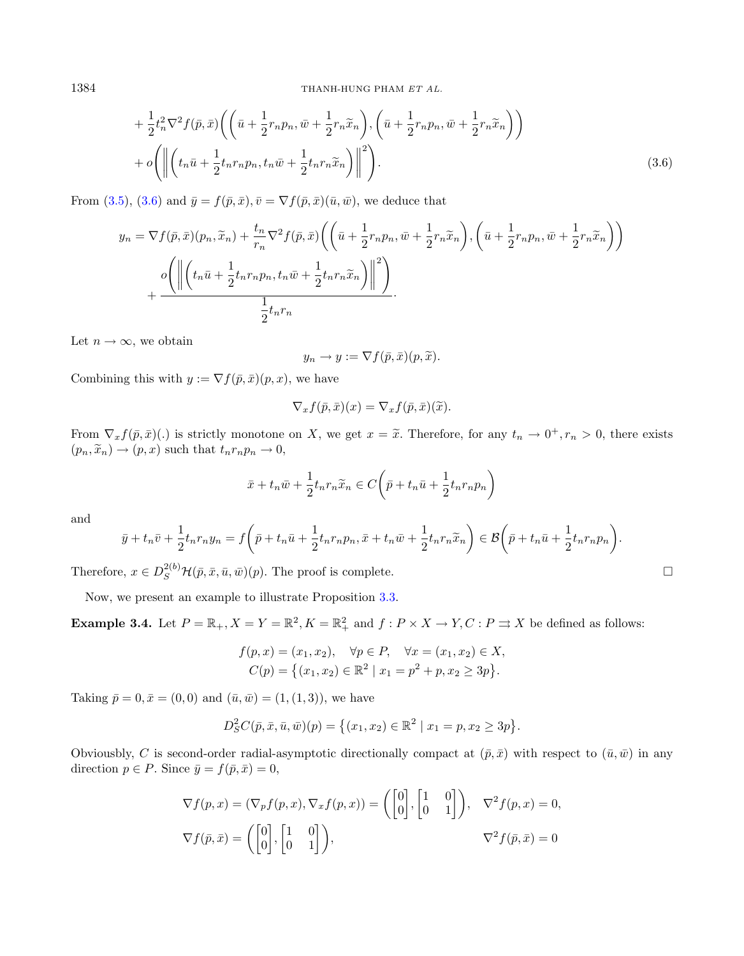1384 THANH-HUNG PHAM ET AL.

$$
+\frac{1}{2}t_n^2\nabla^2 f(\bar{p},\bar{x})\left(\left(\bar{u}+\frac{1}{2}r_n p_n,\bar{w}+\frac{1}{2}r_n\widetilde{x}_n\right),\left(\bar{u}+\frac{1}{2}r_n p_n,\bar{w}+\frac{1}{2}r_n\widetilde{x}_n\right)\right) +o\left(\left\|\left(t_n\bar{u}+\frac{1}{2}t_n r_n p_n,t_n\bar{w}+\frac{1}{2}t_n r_n\widetilde{x}_n\right)\right\|^2\right).
$$
\n(3.6)

From [\(3.5\)](#page-10-1), [\(3.6\)](#page-11-0) and  $\bar{y} = f(\bar{p}, \bar{x}), \bar{v} = \nabla f(\bar{p}, \bar{x})(\bar{u}, \bar{w}),$  we deduce that

$$
y_n = \nabla f(\bar{p}, \bar{x})(p_n, \tilde{x}_n) + \frac{t_n}{r_n} \nabla^2 f(\bar{p}, \bar{x}) \left( \left( \bar{u} + \frac{1}{2} r_n p_n, \bar{w} + \frac{1}{2} r_n \tilde{x}_n \right), \left( \bar{u} + \frac{1}{2} r_n p_n, \bar{w} + \frac{1}{2} r_n \tilde{x}_n \right) \right)
$$

$$
+ \frac{o \left( \left\| \left( t_n \bar{u} + \frac{1}{2} t_n r_n p_n, t_n \bar{w} + \frac{1}{2} t_n r_n \tilde{x}_n \right) \right\|^2 \right)}{\frac{1}{2} t_n r_n}.
$$

Let  $n \to \infty$ , we obtain

<span id="page-11-0"></span>
$$
y_n \to y := \nabla f(\bar{p}, \bar{x})(p, \widetilde{x}).
$$

Combining this with  $y := \nabla f(\bar{p}, \bar{x})(p, x)$ , we have

$$
\nabla_x f(\bar{p}, \bar{x})(x) = \nabla_x f(\bar{p}, \bar{x})(\widetilde{x}).
$$

From  $\nabla_x f(\bar{p}, \bar{x})(.)$  is strictly monotone on X, we get  $x = \tilde{x}$ . Therefore, for any  $t_n \to 0^+, r_n > 0$ , there exists  $(p_n, \tilde{x}_n) \rightarrow (p, x)$  such that  $t_n r_n p_n \rightarrow 0$ ,

$$
\bar{x} + t_n \bar{w} + \frac{1}{2} t_n r_n \tilde{x}_n \in C \left( \bar{p} + t_n \bar{u} + \frac{1}{2} t_n r_n p_n \right)
$$

and

$$
\bar{y}+t_n\bar{v}+\frac{1}{2}t_nr_ny_n=f\bigg(\bar{p}+t_n\bar{u}+\frac{1}{2}t_nr_np_n,\bar{x}+t_n\bar{w}+\frac{1}{2}t_nr_n\widetilde{x}_n\bigg)\in\mathcal{B}\bigg(\bar{p}+t_n\bar{u}+\frac{1}{2}t_nr_np_n\bigg).
$$

Therefore,  $x \in D_S^{2(b)}\mathcal{H}(\bar{p}, \bar{x}, \bar{u}, \bar{w})(p)$ . The proof is complete.

Now, we present an example to illustrate Proposition [3.3.](#page-8-1)

**Example 3.4.** Let  $P = \mathbb{R}_+$ ,  $X = Y = \mathbb{R}^2$ ,  $K = \mathbb{R}^2_+$  and  $f: P \times X \to Y$ ,  $C: P \rightrightarrows X$  be defined as follows:

$$
f(p, x) = (x_1, x_2), \quad \forall p \in P, \quad \forall x = (x_1, x_2) \in X, C(p) = \{(x_1, x_2) \in \mathbb{R}^2 \mid x_1 = p^2 + p, x_2 \ge 3p\}.
$$

Taking  $\bar{p} = 0, \bar{x} = (0, 0)$  and  $(\bar{u}, \bar{w}) = (1, (1, 3))$ , we have

$$
D_S^2 C(\bar{p}, \bar{x}, \bar{u}, \bar{w})(p) = \{(x_1, x_2) \in \mathbb{R}^2 \mid x_1 = p, x_2 \ge 3p\}.
$$

Obviousbly, C is second-order radial-asymptotic directionally compact at  $(\bar{p}, \bar{x})$  with respect to  $(\bar{u}, \bar{w})$  in any direction  $p \in P$ . Since  $\bar{y} = f(\bar{p}, \bar{x}) = 0$ ,

$$
\nabla f(p, x) = (\nabla_p f(p, x), \nabla_x f(p, x)) = \begin{pmatrix} 0 \\ 0 \end{pmatrix}, \begin{bmatrix} 1 & 0 \\ 0 & 1 \end{bmatrix}, \quad \nabla^2 f(p, x) = 0,
$$
  

$$
\nabla f(\bar{p}, \bar{x}) = \begin{pmatrix} 0 \\ 0 \end{pmatrix}, \begin{bmatrix} 1 & 0 \\ 0 & 1 \end{bmatrix}, \quad \nabla^2 f(p, \bar{x}) = 0
$$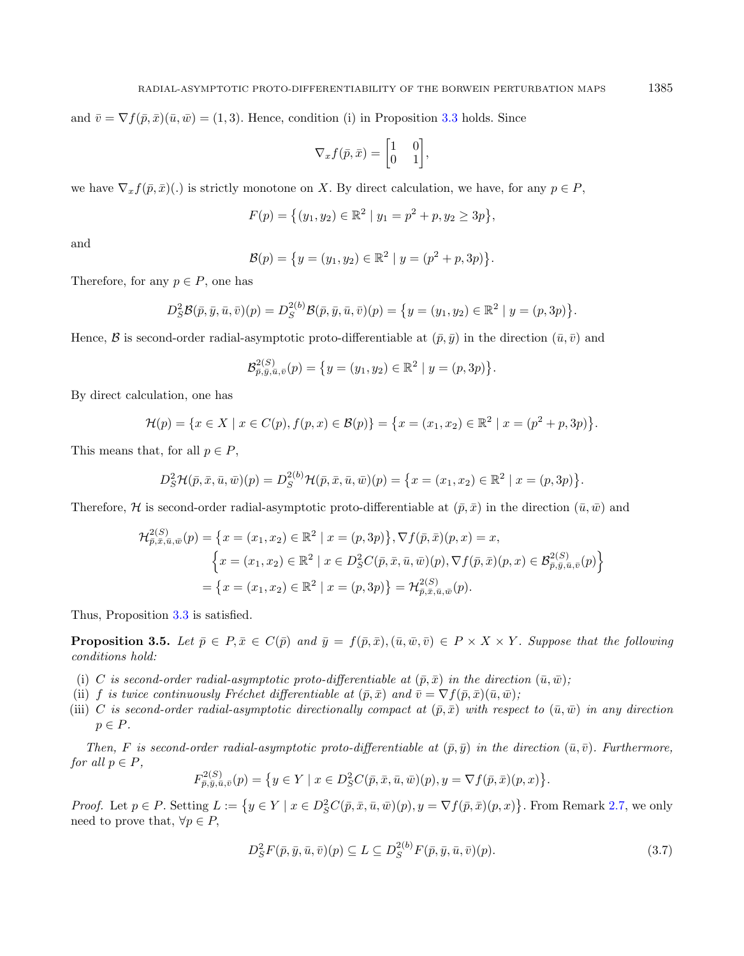and  $\bar{v} = \nabla f(\bar{p}, \bar{x})(\bar{u}, \bar{w}) = (1, 3)$ . Hence, condition (i) in Proposition [3.3](#page-8-1) holds. Since

$$
\nabla_x f(\bar{p}, \bar{x}) = \begin{bmatrix} 1 & 0 \\ 0 & 1 \end{bmatrix},
$$

we have  $\nabla_x f(\bar{p}, \bar{x})(.)$  is strictly monotone on X. By direct calculation, we have, for any  $p \in P$ ,

$$
F(p) = \{(y_1, y_2) \in \mathbb{R}^2 \mid y_1 = p^2 + p, y_2 \ge 3p\},\
$$

and

$$
\mathcal{B}(p) = \{y = (y_1, y_2) \in \mathbb{R}^2 \mid y = (p^2 + p, 3p)\}.
$$

Therefore, for any  $p \in P$ , one has

$$
D_S^2 \mathcal{B}(\bar{p}, \bar{y}, \bar{u}, \bar{v})(p) = D_S^{2(b)} \mathcal{B}(\bar{p}, \bar{y}, \bar{u}, \bar{v})(p) = \{y = (y_1, y_2) \in \mathbb{R}^2 \mid y = (p, 3p)\}.
$$

Hence,  $\mathcal B$  is second-order radial-asymptotic proto-differentiable at  $(\bar p, \bar q)$  in the direction  $(\bar u, \bar v)$  and

$$
\mathcal{B}_{\bar{p},\bar{y},\bar{u},\bar{v}}^{2(S)}(p) = \{y = (y_1,y_2) \in \mathbb{R}^2 \mid y = (p,3p)\}.
$$

By direct calculation, one has

$$
\mathcal{H}(p) = \{x \in X \mid x \in C(p), f(p, x) \in \mathcal{B}(p)\} = \{x = (x_1, x_2) \in \mathbb{R}^2 \mid x = (p^2 + p, 3p)\}.
$$

This means that, for all  $p \in P$ ,

$$
D_S^2 \mathcal{H}(\bar{p}, \bar{x}, \bar{u}, \bar{w})(p) = D_S^{2(b)} \mathcal{H}(\bar{p}, \bar{x}, \bar{u}, \bar{w})(p) = \{x = (x_1, x_2) \in \mathbb{R}^2 \mid x = (p, 3p)\}.
$$

Therefore, H is second-order radial-asymptotic proto-differentiable at  $(\bar{p}, \bar{x})$  in the direction  $(\bar{u}, \bar{w})$  and

$$
\mathcal{H}_{\bar{p},\bar{x},\bar{u},\bar{w}}^{2(S)}(p) = \left\{ x = (x_1, x_2) \in \mathbb{R}^2 \mid x = (p,3p) \right\}, \nabla f(\bar{p}, \bar{x})(p, x) = x,
$$
\n
$$
\left\{ x = (x_1, x_2) \in \mathbb{R}^2 \mid x \in D_S^2 C(\bar{p}, \bar{x}, \bar{u}, \bar{w})(p), \nabla f(\bar{p}, \bar{x})(p, x) \in \mathcal{B}_{\bar{p},\bar{y},\bar{u},\bar{v}}^{2(S)}(p) \right\}
$$
\n
$$
= \left\{ x = (x_1, x_2) \in \mathbb{R}^2 \mid x = (p, 3p) \right\} = \mathcal{H}_{\bar{p},\bar{x},\bar{u},\bar{w}}^{2(S)}(p).
$$

Thus, Proposition [3.3](#page-8-1) is satisfied.

<span id="page-12-1"></span>**Proposition 3.5.** Let  $\bar{p} \in P$ ,  $\bar{x} \in C(\bar{p})$  and  $\bar{y} = f(\bar{p}, \bar{x})$ ,  $(\bar{u}, \bar{w}, \bar{v}) \in P \times X \times Y$ . Suppose that the following conditions hold:

- (i) C is second-order radial-asymptotic proto-differentiable at  $(\bar{p}, \bar{x})$  in the direction  $(\bar{u}, \bar{w})$ ;
- (ii) f is twice continuously Fréchet differentiable at  $(\bar{p}, \bar{x})$  and  $\bar{v} = \nabla f(\bar{p}, \bar{x})(\bar{u}, \bar{w})$ ;
- (iii) C is second-order radial-asymptotic directionally compact at  $(\bar{p}, \bar{x})$  with respect to  $(\bar{u}, \bar{w})$  in any direction  $p \in P$ .

Then, F is second-order radial-asymptotic proto-differentiable at  $(\bar{p}, \bar{y})$  in the direction  $(\bar{u}, \bar{v})$ . Furthermore, for all  $p \in P$ ,

<span id="page-12-0"></span>
$$
F_{\bar{p},\bar{y},\bar{u},\bar{v}}^{2(S)}(p) = \{ y \in Y \mid x \in D_S^2 C(\bar{p}, \bar{x}, \bar{u}, \bar{w})(p), y = \nabla f(\bar{p}, \bar{x})(p, x) \}
$$

*Proof.* Let  $p \in P$ . Setting  $L := \{y \in Y \mid x \in D_S^2C(\bar{p}, \bar{x}, \bar{u}, \bar{w})(p), y = \nabla f(\bar{p}, \bar{x})(p, x)\}.$  From Remark [2.7,](#page-3-0) we only need to prove that,  $\forall p \in P$ ,

$$
D_S^2 F(\bar{p}, \bar{y}, \bar{u}, \bar{v})(p) \subseteq L \subseteq D_S^{2(b)} F(\bar{p}, \bar{y}, \bar{u}, \bar{v})(p). \tag{3.7}
$$

.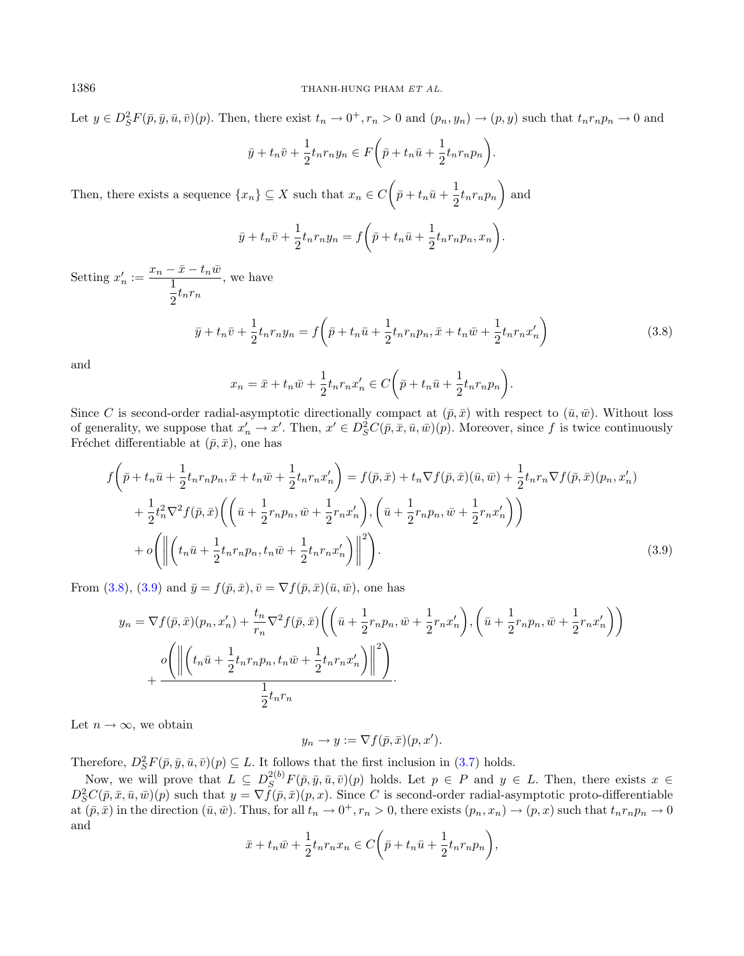Let  $y \in D_S^2 F(\bar{p}, \bar{y}, \bar{u}, \bar{v})(p)$ . Then, there exist  $t_n \to 0^+, r_n > 0$  and  $(p_n, y_n) \to (p, y)$  such that  $t_n r_n p_n \to 0$  and

<span id="page-13-0"></span>
$$
\bar{y} + t_n \bar{v} + \frac{1}{2} t_n r_n y_n \in F\bigg(\bar{p} + t_n \bar{u} + \frac{1}{2} t_n r_n p_n\bigg).
$$

Then, there exists a sequence  $\{x_n\} \subseteq X$  such that  $x_n \in C$   $\left(\bar{p} + t_n\bar{u} + \frac{1}{2}\right)$  $\frac{1}{2} t_n r_n p_n$  and

$$
\bar{y} + t_n \bar{v} + \frac{1}{2} t_n r_n y_n = f\left(\bar{p} + t_n \bar{u} + \frac{1}{2} t_n r_n p_n, x_n\right).
$$

Setting  $x'_n := \frac{x_n - \bar{x} - t_n \bar{w}}{1}$ 1  $\frac{1}{2}t_nr_n$ , we have

$$
\bar{y} + t_n \bar{v} + \frac{1}{2} t_n r_n y_n = f \left( \bar{p} + t_n \bar{u} + \frac{1}{2} t_n r_n p_n, \bar{x} + t_n \bar{w} + \frac{1}{2} t_n r_n x_n' \right)
$$
(3.8)

and

<span id="page-13-1"></span>
$$
x_n = \bar{x} + t_n \bar{w} + \frac{1}{2} t_n r_n x'_n \in C \left( \bar{p} + t_n \bar{u} + \frac{1}{2} t_n r_n p_n \right).
$$

Since C is second-order radial-asymptotic directionally compact at  $(\bar{p}, \bar{x})$  with respect to  $(\bar{u}, \bar{w})$ . Without loss of generality, we suppose that  $x'_n \to x'$ . Then,  $x' \in D_S^2C(\bar{p}, \bar{x}, \bar{u}, \bar{w})(p)$ . Moreover, since f is twice continuously Fréchet differentiable at  $(\bar{p}, \bar{x})$ , one has

$$
f\left(\bar{p} + t_n\bar{u} + \frac{1}{2}t_n r_n p_n, \bar{x} + t_n\bar{w} + \frac{1}{2}t_n r_n x_n'\right) = f(\bar{p}, \bar{x}) + t_n \nabla f(\bar{p}, \bar{x})(\bar{u}, \bar{w}) + \frac{1}{2}t_n r_n \nabla f(\bar{p}, \bar{x})(p_n, x_n') + \frac{1}{2}t_n^2 \nabla^2 f(\bar{p}, \bar{x}) \left(\left(\bar{u} + \frac{1}{2}r_n p_n, \bar{w} + \frac{1}{2}r_n x_n'\right), \left(\bar{u} + \frac{1}{2}r_n p_n, \bar{w} + \frac{1}{2}r_n x_n'\right)\right) + o\left(\left\|\left(t_n\bar{u} + \frac{1}{2}t_n r_n p_n, t_n\bar{w} + \frac{1}{2}t_n r_n x_n'\right)\right\|^2\right).
$$
\n(3.9)

From [\(3.8\)](#page-13-0), [\(3.9\)](#page-13-1) and  $\bar{y} = f(\bar{p}, \bar{x}), \bar{v} = \nabla f(\bar{p}, \bar{x})(\bar{u}, \bar{w}),$  one has

$$
y_n = \nabla f(\bar{p}, \bar{x})(p_n, x'_n) + \frac{t_n}{r_n} \nabla^2 f(\bar{p}, \bar{x}) \left( \left( \bar{u} + \frac{1}{2} r_n p_n, \bar{w} + \frac{1}{2} r_n x'_n \right), \left( \bar{u} + \frac{1}{2} r_n p_n, \bar{w} + \frac{1}{2} r_n x'_n \right) \right)
$$

$$
+ \frac{o \left( \left\| \left( t_n \bar{u} + \frac{1}{2} t_n r_n p_n, t_n \bar{w} + \frac{1}{2} t_n r_n x'_n \right) \right\|^2 \right)}{\frac{1}{2} t_n r_n}.
$$

Let  $n \to \infty$ , we obtain

$$
y_n \to y := \nabla f(\bar{p}, \bar{x})(p, x').
$$

Therefore,  $D_S^2 F(\bar{p}, \bar{y}, \bar{u}, \bar{v})(p) \subseteq L$ . It follows that the first inclusion in [\(3.7\)](#page-12-0) holds.

Now, we will prove that  $L \subseteq D_S^{2(b)}F(\bar{p}, \bar{y}, \bar{u}, \bar{v})(p)$  holds. Let  $p \in P$  and  $y \in L$ . Then, there exists  $x \in$  $D^2_S C(\bar{p}, \bar{x}, \bar{u}, \bar{w})(p)$  such that  $y = \nabla f(\bar{p}, \bar{x})(p, x)$ . Since C is second-order radial-asymptotic proto-differentiable at  $(\bar{p}, \bar{x})$  in the direction  $(\bar{u}, \bar{w})$ . Thus, for all  $t_n \to 0^+, r_n > 0$ , there exists  $(p_n, x_n) \to (p, x)$  such that  $t_n r_n p_n \to 0$ and

$$
\bar{x} + t_n \bar{w} + \frac{1}{2} t_n r_n x_n \in C\bigg(\bar{p} + t_n \bar{u} + \frac{1}{2} t_n r_n p_n\bigg),
$$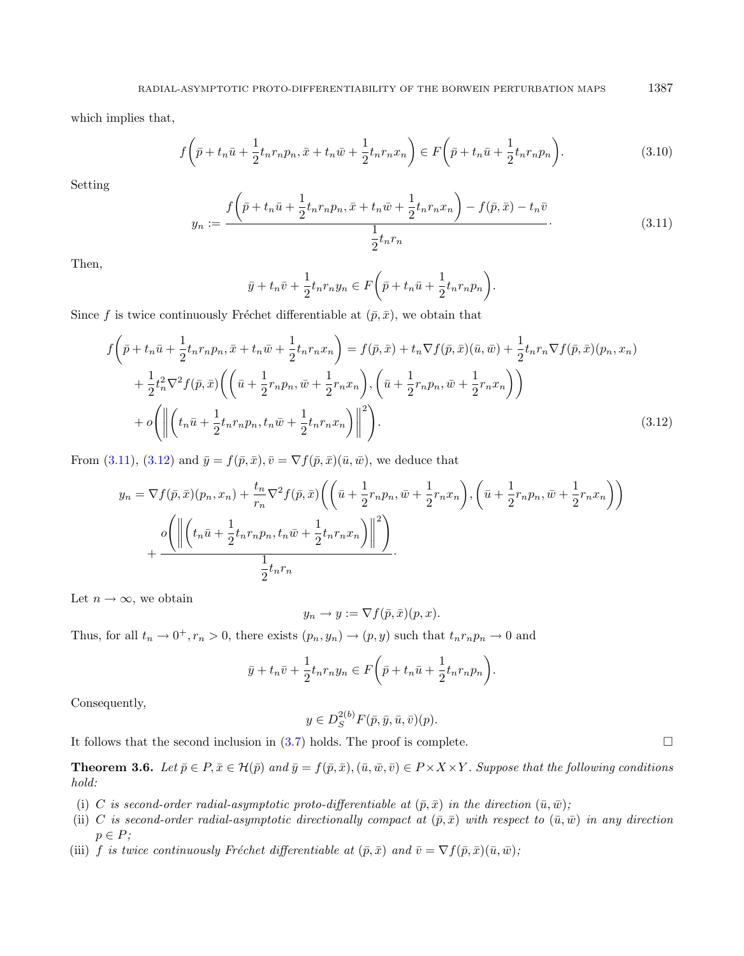<span id="page-14-0"></span>which implies that,

$$
f\left(\bar{p}+t_n\bar{u}+\frac{1}{2}t_nr_np_n,\bar{x}+t_n\bar{w}+\frac{1}{2}t_nr_nx_n\right)\in F\left(\bar{p}+t_n\bar{u}+\frac{1}{2}t_nr_np_n\right).
$$
\n(3.10)

Setting

$$
y_n := \frac{f\left(\bar{p} + t_n\bar{u} + \frac{1}{2}t_n r_n p_n, \bar{x} + t_n\bar{w} + \frac{1}{2}t_n r_n x_n\right) - f(\bar{p}, \bar{x}) - t_n\bar{v}}{\frac{1}{2}t_n r_n}.
$$
(3.11)

Then,

<span id="page-14-1"></span>
$$
\bar{y} + t_n \bar{v} + \frac{1}{2} t_n r_n y_n \in F\bigg(\bar{p} + t_n \bar{u} + \frac{1}{2} t_n r_n p_n\bigg).
$$

Since f is twice continuously Fréchet differentiable at  $(\bar{p}, \bar{x})$ , we obtain that

$$
f\left(\bar{p} + t_n\bar{u} + \frac{1}{2}t_n r_n p_n, \bar{x} + t_n\bar{w} + \frac{1}{2}t_n r_n x_n\right) = f(\bar{p}, \bar{x}) + t_n \nabla f(\bar{p}, \bar{x})(\bar{u}, \bar{w}) + \frac{1}{2}t_n r_n \nabla f(\bar{p}, \bar{x})(p_n, x_n) + \frac{1}{2}t_n^2 \nabla^2 f(\bar{p}, \bar{x}) \left(\left(\bar{u} + \frac{1}{2}r_n p_n, \bar{w} + \frac{1}{2}r_n x_n\right), \left(\bar{u} + \frac{1}{2}r_n p_n, \bar{w} + \frac{1}{2}r_n x_n\right)\right) + o\left(\left\|\left(t_n\bar{u} + \frac{1}{2}t_n r_n p_n, t_n\bar{w} + \frac{1}{2}t_n r_n x_n\right)\right\|^2\right).
$$
\n(3.12)

From [\(3.11\)](#page-14-0), [\(3.12\)](#page-14-1) and  $\bar{y} = f(\bar{p}, \bar{x}), \bar{v} = \nabla f(\bar{p}, \bar{x})(\bar{u}, \bar{w}),$  we deduce that

$$
y_n = \nabla f(\bar{p}, \bar{x})(p_n, x_n) + \frac{t_n}{r_n} \nabla^2 f(\bar{p}, \bar{x}) \left( \left( \bar{u} + \frac{1}{2} r_n p_n, \bar{w} + \frac{1}{2} r_n x_n \right), \left( \bar{u} + \frac{1}{2} r_n p_n, \bar{w} + \frac{1}{2} r_n x_n \right) \right)
$$

$$
+ \frac{o \left( \left\| \left( t_n \bar{u} + \frac{1}{2} t_n r_n p_n, t_n \bar{w} + \frac{1}{2} t_n r_n x_n \right) \right\|^2 \right)}{\frac{1}{2} t_n r_n}.
$$

Let  $n \to \infty$ , we obtain

$$
y_n \to y := \nabla f(\bar{p}, \bar{x})(p, x).
$$

Thus, for all  $t_n \to 0^+, r_n > 0$ , there exists  $(p_n, y_n) \to (p, y)$  such that  $t_n r_n p_n \to 0$  and

$$
\bar{y} + t_n \bar{v} + \frac{1}{2} t_n r_n y_n \in F\bigg(\bar{p} + t_n \bar{u} + \frac{1}{2} t_n r_n p_n\bigg).
$$

Consequently,

$$
y \in D_S^{2(b)}F(\bar{p}, \bar{y}, \bar{u}, \bar{v})(p).
$$

It follows that the second inclusion in  $(3.7)$  holds. The proof is complete.

<span id="page-14-2"></span>**Theorem 3.6.** Let  $\bar{p} \in P$ ,  $\bar{x} \in H(\bar{p})$  and  $\bar{y} = f(\bar{p}, \bar{x})$ ,  $(\bar{u}, \bar{w}, \bar{v}) \in P \times X \times Y$ . Suppose that the following conditions hold:

- (i) C is second-order radial-asymptotic proto-differentiable at  $(\bar{p}, \bar{x})$  in the direction  $(\bar{u}, \bar{w})$ ;
- (ii) C is second-order radial-asymptotic directionally compact at  $(\bar{p}, \bar{x})$  with respect to  $(\bar{u}, \bar{w})$  in any direction  $p \in P$ ;
- (iii) f is twice continuously Fréchet differentiable at  $(\bar{p}, \bar{x})$  and  $\bar{v} = \nabla f(\bar{p}, \bar{x})(\bar{u}, \bar{w})$ ;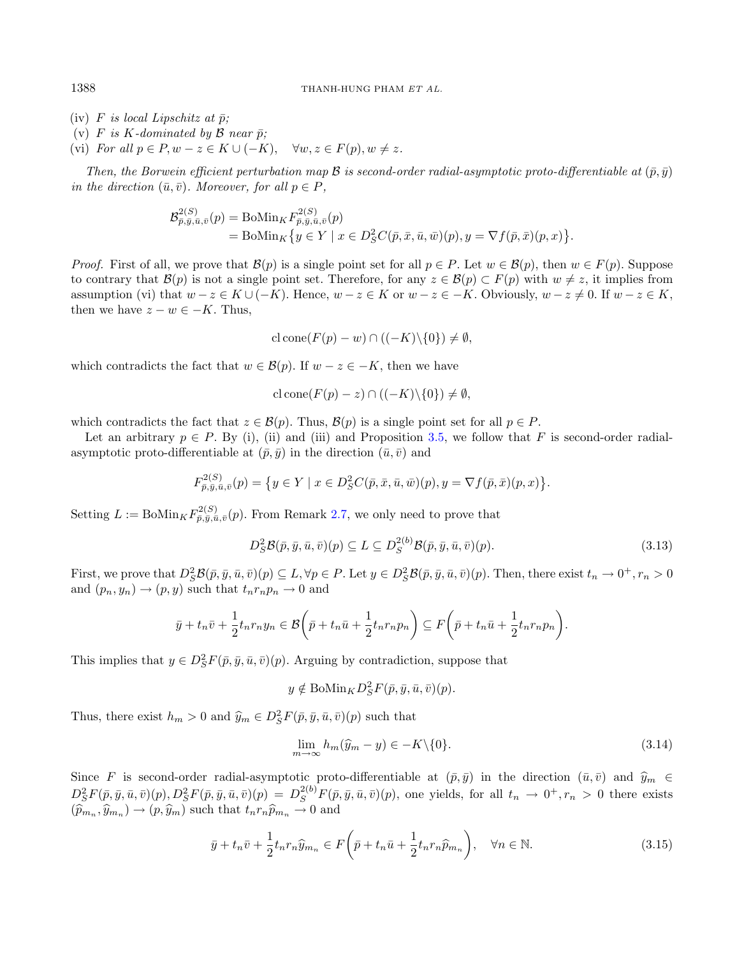- (iv) F is local Lipschitz at  $\bar{p}$ ;
- (v) F is K-dominated by B near  $\bar{p}$ ;
- (vi) For all  $p \in P, w z \in K \cup (-K), \quad \forall w, z \in F(p), w \neq z.$

Then, the Borwein efficient perturbation map  $\mathcal B$  is second-order radial-asymptotic proto-differentiable at  $(\bar p, \bar q)$ in the direction  $(\bar{u}, \bar{v})$ . Moreover, for all  $p \in P$ ,

$$
\mathcal{B}_{\bar{p},\bar{y},\bar{a},\bar{v}}^{2(S)}(p) = \text{BoMin}_{K} F_{\bar{p},\bar{y},\bar{u},\bar{v}}^{2(S)}(p) \n= \text{BoMin}_{K} \{ y \in Y \mid x \in D_{S}^{2} C(\bar{p}, \bar{x}, \bar{u}, \bar{w})(p), y = \nabla f(\bar{p}, \bar{x})(p, x) \}.
$$

*Proof.* First of all, we prove that  $\mathcal{B}(p)$  is a single point set for all  $p \in P$ . Let  $w \in \mathcal{B}(p)$ , then  $w \in F(p)$ . Suppose to contrary that  $\mathcal{B}(p)$  is not a single point set. Therefore, for any  $z \in \mathcal{B}(p) \subset F(p)$  with  $w \neq z$ , it implies from assumption (vi) that  $w - z \in K \cup (-K)$ . Hence,  $w - z \in K$  or  $w - z \in -K$ . Obviously,  $w - z \neq 0$ . If  $w - z \in K$ , then we have  $z - w \in -K$ . Thus,

<span id="page-15-2"></span>
$$
cl cone(F(p) - w) \cap ((-K) \setminus \{0\}) \neq \emptyset,
$$

which contradicts the fact that  $w \in \mathcal{B}(p)$ . If  $w - z \in -K$ , then we have

$$
c \operatorname{lcone}(F(p) - z) \cap ((-K) \setminus \{0\}) \neq \emptyset,
$$

which contradicts the fact that  $z \in \mathcal{B}(p)$ . Thus,  $\mathcal{B}(p)$  is a single point set for all  $p \in P$ .

Let an arbitrary  $p \in P$ . By (i), (ii) and (iii) and Proposition [3.5,](#page-12-1) we follow that F is second-order radialasymptotic proto-differentiable at  $(\bar{p}, \bar{y})$  in the direction  $(\bar{u}, \bar{v})$  and

$$
F_{\bar{p},\bar{y},\bar{u},\bar{v}}^{2(S)}(p) = \{ y \in Y \mid x \in D_S^2 C(\bar{p}, \bar{x}, \bar{u}, \bar{w})(p), y = \nabla f(\bar{p}, \bar{x})(p, x) \}.
$$

Setting  $L := \text{BoMin}_{K} F_{\bar{p}, \bar{y}, \bar{u}, \bar{v}}^{2(S)}(p)$ . From Remark [2.7,](#page-3-0) we only need to prove that

<span id="page-15-1"></span>
$$
D_S^2 \mathcal{B}(\bar{p}, \bar{y}, \bar{u}, \bar{v})(p) \subseteq L \subseteq D_S^{2(b)} \mathcal{B}(\bar{p}, \bar{y}, \bar{u}, \bar{v})(p). \tag{3.13}
$$

First, we prove that  $D_S^2 \mathcal{B}(\bar{p}, \bar{y}, \bar{u}, \bar{v})(p) \subseteq L$ ,  $\forall p \in P$ . Let  $y \in D_S^2 \mathcal{B}(\bar{p}, \bar{y}, \bar{u}, \bar{v})(p)$ . Then, there exist  $t_n \to 0^+, r_n > 0$ and  $(p_n, y_n) \rightarrow (p, y)$  such that  $t_n r_n p_n \rightarrow 0$  and

$$
\bar{y} + t_n \bar{v} + \frac{1}{2} t_n r_n y_n \in \mathcal{B}\left(\bar{p} + t_n \bar{u} + \frac{1}{2} t_n r_n p_n\right) \subseteq F\left(\bar{p} + t_n \bar{u} + \frac{1}{2} t_n r_n p_n\right).
$$

This implies that  $y \in D_S^2F(\bar{p}, \bar{y}, \bar{u}, \bar{v})(p)$ . Arguing by contradiction, suppose that

<span id="page-15-0"></span>
$$
y \notin \text{BoMin}_{K} D_{S}^{2} F(\bar{p}, \bar{y}, \bar{u}, \bar{v})(p).
$$

Thus, there exist  $h_m > 0$  and  $\hat{y}_m \in D_S^2 F(\bar{p}, \bar{y}, \bar{u}, \bar{v})(p)$  such that

$$
\lim_{m \to \infty} h_m(\hat{y}_m - y) \in -K \setminus \{0\}.
$$
\n(3.14)

Since F is second-order radial-asymptotic proto-differentiable at  $(\bar{p}, \bar{y})$  in the direction  $(\bar{u}, \bar{v})$  and  $\hat{y}_m \in$  $D^2_S F(\bar{p}, \bar{y}, \bar{u}, \bar{v})(p), D^2_S F(\bar{p}, \bar{y}, \bar{u}, \bar{v})(p) = D^{2(b)}_S F(\bar{p}, \bar{y}, \bar{u}, \bar{v})(p)$ , one yields, for all  $t_n \to 0^+, r_n > 0$  there exists  $(\widehat{p}_{m_n}, \widehat{y}_{m_n}) \to (p, \widehat{y}_m)$  such that  $t_n r_n \widehat{p}_{m_n} \to 0$  and

$$
\bar{y} + t_n \bar{v} + \frac{1}{2} t_n r_n \widehat{y}_{m_n} \in F\left(\bar{p} + t_n \bar{u} + \frac{1}{2} t_n r_n \widehat{p}_{m_n}\right), \quad \forall n \in \mathbb{N}.
$$
\n(3.15)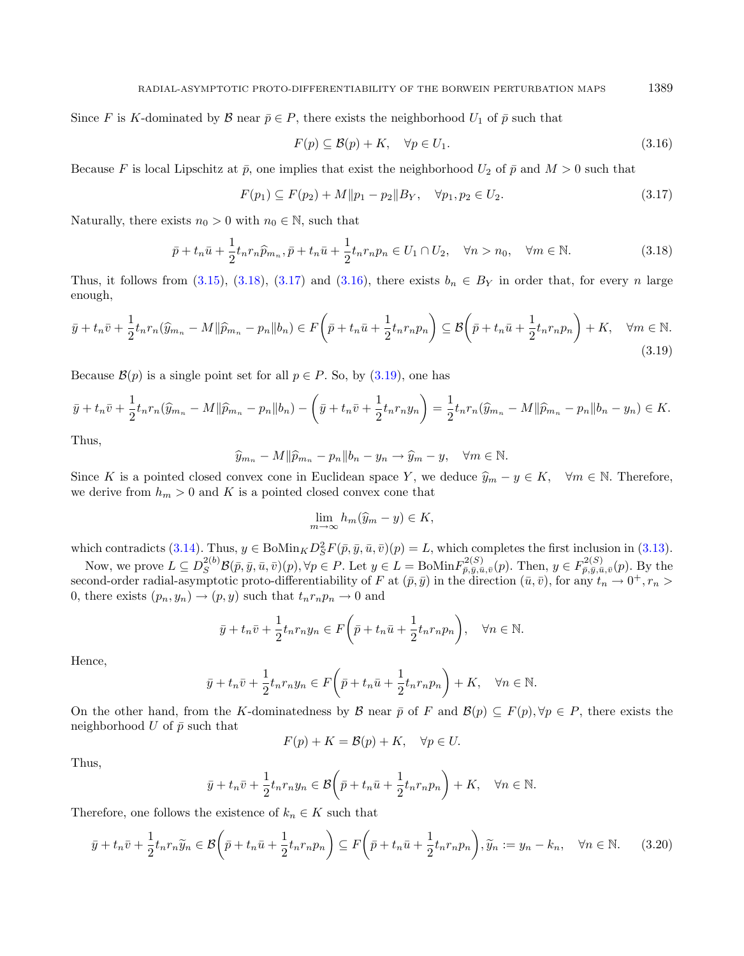Since F is K-dominated by  $\mathcal B$  near  $\bar p \in P$ , there exists the neighborhood  $U_1$  of  $\bar p$  such that

<span id="page-16-3"></span><span id="page-16-2"></span><span id="page-16-1"></span><span id="page-16-0"></span>
$$
F(p) \subseteq \mathcal{B}(p) + K, \quad \forall p \in U_1.
$$
\n
$$
(3.16)
$$

Because F is local Lipschitz at  $\bar{p}$ , one implies that exist the neighborhood  $U_2$  of  $\bar{p}$  and  $M > 0$  such that

$$
F(p_1) \subseteq F(p_2) + M \| p_1 - p_2 \| B_Y, \quad \forall p_1, p_2 \in U_2. \tag{3.17}
$$

Naturally, there exists  $n_0 > 0$  with  $n_0 \in \mathbb{N}$ , such that

$$
\bar{p} + t_n \bar{u} + \frac{1}{2} t_n r_n \widehat{p}_{m_n}, \bar{p} + t_n \bar{u} + \frac{1}{2} t_n r_n p_n \in U_1 \cap U_2, \quad \forall n > n_0, \quad \forall m \in \mathbb{N}.
$$
\n(3.18)

Thus, it follows from  $(3.15)$ ,  $(3.18)$ ,  $(3.17)$  and  $(3.16)$ , there exists  $b_n \in B_Y$  in order that, for every *n* large enough,

$$
\bar{y} + t_n \bar{v} + \frac{1}{2} t_n r_n (\widehat{y}_{m_n} - M \|\widehat{p}_{m_n} - p_n\|b_n) \in F\left(\bar{p} + t_n \bar{u} + \frac{1}{2} t_n r_n p_n\right) \subseteq \mathcal{B}\left(\bar{p} + t_n \bar{u} + \frac{1}{2} t_n r_n p_n\right) + K, \quad \forall m \in \mathbb{N}.
$$
\n(3.19)

Because  $\mathcal{B}(p)$  is a single point set for all  $p \in P$ . So, by [\(3.19\)](#page-16-3), one has

$$
\bar{y} + t_n \bar{v} + \frac{1}{2} t_n r_n (\widehat{y}_{m_n} - M || \widehat{p}_{m_n} - p_n || b_n) - \left( \bar{y} + t_n \bar{v} + \frac{1}{2} t_n r_n y_n \right) = \frac{1}{2} t_n r_n (\widehat{y}_{m_n} - M || \widehat{p}_{m_n} - p_n || b_n - y_n) \in K.
$$

Thus,

$$
\widehat{y}_{m_n} - M \|\widehat{p}_{m_n} - p_n\|b_n - y_n \to \widehat{y}_m - y, \quad \forall m \in \mathbb{N}.
$$

Since K is a pointed closed convex cone in Euclidean space Y, we deduce  $\hat{y}_m - y \in K$ ,  $\forall m \in \mathbb{N}$ . Therefore, we derive from  $h_m > 0$  and K is a pointed closed convex cone that

<span id="page-16-4"></span>
$$
\lim_{m \to \infty} h_m(\widehat{y}_m - y) \in K,
$$

which contradicts [\(3.14\)](#page-15-1). Thus,  $y \in \text{BoMin}_K D_S^2 F(\bar{p}, \bar{y}, \bar{u}, \bar{v})(p) = L$ , which completes the first inclusion in [\(3.13\)](#page-15-2).

Now, we prove  $L \subseteq D_S^{2(b)} \mathcal{B}(\bar{p}, \bar{y}, \bar{u}, \bar{v})(p)$ ,  $\forall p \in P$ . Let  $y \in L = \text{BoMin} F_{\bar{p}, \bar{y}, \bar{u}, \bar{v}}^{2(S)}(p)$ . Then,  $y \in F_{\bar{p}, \bar{y}, \bar{u}, \bar{v}}^{2(S)}(p)$ . By the second-order radial-asymptotic proto-differentiability of F at  $(\bar{p}, \bar{y})$  in the direction  $(\bar{u}, \bar{v})$ , for any  $t_n \to 0^+, r_n >$ 0, there exists  $(p_n, y_n) \rightarrow (p, y)$  such that  $t_n r_n p_n \rightarrow 0$  and

$$
\bar{y} + t_n \bar{v} + \frac{1}{2} t_n r_n y_n \in F\left(\bar{p} + t_n \bar{u} + \frac{1}{2} t_n r_n p_n\right), \quad \forall n \in \mathbb{N}.
$$

Hence,

$$
\bar{y} + t_n \bar{v} + \frac{1}{2} t_n r_n y_n \in F\left(\bar{p} + t_n \bar{u} + \frac{1}{2} t_n r_n p_n\right) + K, \quad \forall n \in \mathbb{N}.
$$

On the other hand, from the K-dominatedness by  $\mathcal B$  near  $\bar p$  of  $F$  and  $\mathcal B(p) \subseteq F(p), \forall p \in P$ , there exists the neighborhood U of  $\bar{p}$  such that

$$
F(p) + K = \mathcal{B}(p) + K, \quad \forall p \in U.
$$

Thus,

$$
\bar{y} + t_n \bar{v} + \frac{1}{2} t_n r_n y_n \in \mathcal{B}\left(\bar{p} + t_n \bar{u} + \frac{1}{2} t_n r_n p_n\right) + K, \quad \forall n \in \mathbb{N}.
$$

Therefore, one follows the existence of  $k_n \in K$  such that

$$
\bar{y} + t_n \bar{v} + \frac{1}{2} t_n r_n \widetilde{y}_n \in \mathcal{B}\left(\bar{p} + t_n \bar{u} + \frac{1}{2} t_n r_n p_n\right) \subseteq F\left(\bar{p} + t_n \bar{u} + \frac{1}{2} t_n r_n p_n\right), \widetilde{y}_n := y_n - k_n, \quad \forall n \in \mathbb{N}.\tag{3.20}
$$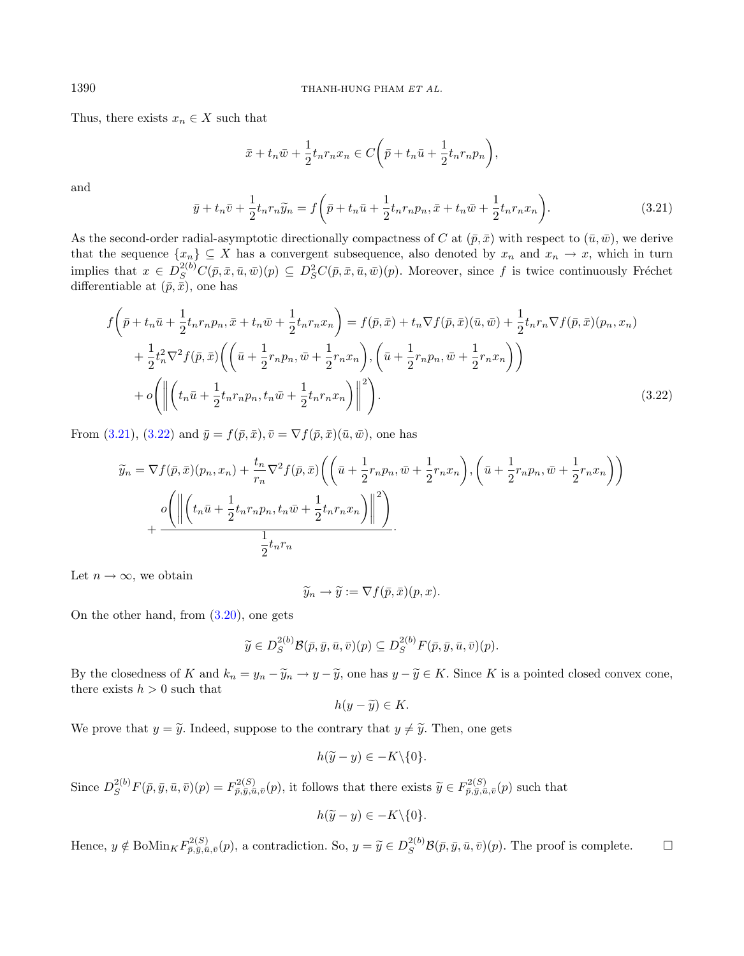Thus, there exists  $x_n \in X$  such that

<span id="page-17-1"></span>
$$
\bar{x} + t_n \bar{w} + \frac{1}{2} t_n r_n x_n \in C\bigg(\bar{p} + t_n \bar{u} + \frac{1}{2} t_n r_n p_n\bigg),
$$

and

$$
\bar{y} + t_n \bar{v} + \frac{1}{2} t_n r_n \widetilde{y}_n = f\left(\bar{p} + t_n \bar{u} + \frac{1}{2} t_n r_n p_n, \bar{x} + t_n \bar{w} + \frac{1}{2} t_n r_n x_n\right).
$$
\n(3.21)

As the second-order radial-asymptotic directionally compactness of C at  $(\bar{p}, \bar{x})$  with respect to  $(\bar{u}, \bar{w})$ , we derive that the sequence  $\{x_n\} \subseteq X$  has a convergent subsequence, also denoted by  $x_n$  and  $x_n \to x$ , which in turn implies that  $x \in D_S^{2(b)}C(\bar{p}, \bar{x}, \bar{u}, \bar{w})(p) \subseteq D_S^2C(\bar{p}, \bar{x}, \bar{u}, \bar{w})(p)$ . Moreover, since f is twice continuously Fréchet differentiable at  $(\bar{p}, \bar{x})$ , one has

$$
f\left(\bar{p} + t_n\bar{u} + \frac{1}{2}t_n r_n p_n, \bar{x} + t_n\bar{w} + \frac{1}{2}t_n r_n x_n\right) = f(\bar{p}, \bar{x}) + t_n \nabla f(\bar{p}, \bar{x})(\bar{u}, \bar{w}) + \frac{1}{2}t_n r_n \nabla f(\bar{p}, \bar{x})(p_n, x_n) + \frac{1}{2}t_n^2 \nabla^2 f(\bar{p}, \bar{x}) \left(\left(\bar{u} + \frac{1}{2}r_n p_n, \bar{w} + \frac{1}{2}r_n x_n\right), \left(\bar{u} + \frac{1}{2}r_n p_n, \bar{w} + \frac{1}{2}r_n x_n\right)\right) + o\left(\left\|\left(t_n\bar{u} + \frac{1}{2}t_n r_n p_n, t_n\bar{w} + \frac{1}{2}t_n r_n x_n\right)\right\|^2\right).
$$
\n(3.22)

From [\(3.21\)](#page-17-0), [\(3.22\)](#page-17-1) and  $\bar{y} = f(\bar{p}, \bar{x}), \bar{v} = \nabla f(\bar{p}, \bar{x})(\bar{u}, \bar{w}),$  one has

$$
\widetilde{y}_n = \nabla f(\bar{p}, \bar{x})(p_n, x_n) + \frac{t_n}{r_n} \nabla^2 f(\bar{p}, \bar{x}) \left( \left( \bar{u} + \frac{1}{2} r_n p_n, \bar{w} + \frac{1}{2} r_n x_n \right), \left( \bar{u} + \frac{1}{2} r_n p_n, \bar{w} + \frac{1}{2} r_n x_n \right) \right)
$$
\n
$$
+ \frac{o \left( \left\| \left( t_n \bar{u} + \frac{1}{2} t_n r_n p_n, t_n \bar{w} + \frac{1}{2} t_n r_n x_n \right) \right\|^2 \right)}{\frac{1}{2} t_n r_n}.
$$

Let  $n \to \infty$ , we obtain

$$
\widetilde{y}_n \to \widetilde{y} := \nabla f(\bar{p}, \bar{x})(p, x).
$$

On the other hand, from [\(3.20\)](#page-16-4), one gets

$$
\widetilde{y} \in D_S^{2(b)} \mathcal{B}(\bar{p}, \bar{y}, \bar{u}, \bar{v})(p) \subseteq D_S^{2(b)} F(\bar{p}, \bar{y}, \bar{u}, \bar{v})(p).
$$

By the closedness of K and  $k_n = y_n - \tilde{y}_n \to y - \tilde{y}$ , one has  $y - \tilde{y} \in K$ . Since K is a pointed closed convex cone, there exists  $h > 0$  such that

$$
h(y-\widetilde{y})\in K.
$$

We prove that  $y = \tilde{y}$ . Indeed, suppose to the contrary that  $y \neq \tilde{y}$ . Then, one gets

$$
h(\widetilde{y}-y)\in -K\backslash\{0\}.
$$

Since  $D_S^{2(b)}F(\bar{p}, \bar{y}, \bar{u}, \bar{v})(p) = F_{\bar{p}, \bar{y}, \bar{u}, \bar{v}}^{2(S)}(p)$ , it follows that there exists  $\tilde{y} \in F_{\bar{p}, \bar{y}, \bar{u}, \bar{v}}^{2(S)}(p)$  such that

$$
h(\widetilde{y}-y)\in -K\backslash\{0\}.
$$

Hence,  $y \notin \text{BoMin}_K F_{\bar{p}, \bar{y}, \bar{u}, \bar{v}}^{2(S)}(p)$ , a contradiction. So,  $y = \tilde{y} \in D_S^{2(b)} \mathcal{B}(\bar{p}, \bar{y}, \bar{u}, \bar{v})(p)$ . The proof is complete.

<span id="page-17-0"></span>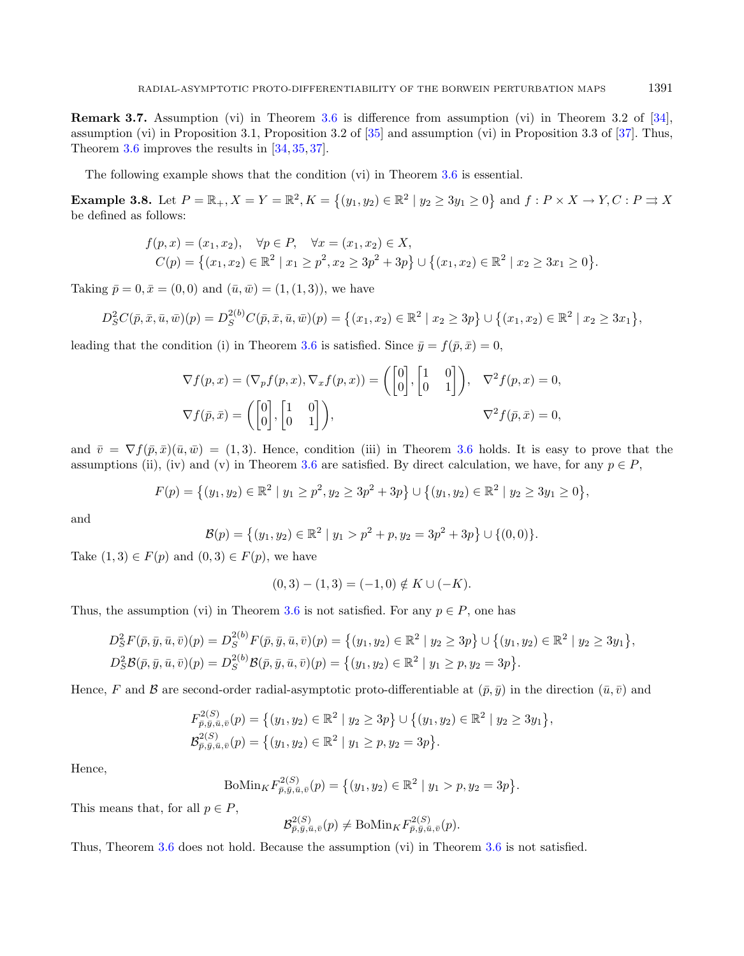Remark 3.7. Assumption (vi) in Theorem [3.6](#page-14-2) is difference from assumption (vi) in Theorem 3.2 of [\[34\]](#page-22-14), assumption (vi) in Proposition 3.1, Proposition 3.2 of [\[35\]](#page-22-15) and assumption (vi) in Proposition 3.3 of [\[37\]](#page-22-17). Thus, Theorem [3.6](#page-14-2) improves the results in [\[34,](#page-22-14) [35,](#page-22-15) [37\]](#page-22-17).

The following example shows that the condition (vi) in Theorem [3.6](#page-14-2) is essential.

**Example 3.8.** Let  $P = \mathbb{R}_+$ ,  $X = Y = \mathbb{R}^2$ ,  $K = \{(y_1, y_2) \in \mathbb{R}^2 \mid y_2 \ge 3y_1 \ge 0\}$  and  $f: P \times X \to Y$ ,  $C: P \rightrightarrows X$ be defined as follows:

$$
f(p,x) = (x_1, x_2), \quad \forall p \in P, \quad \forall x = (x_1, x_2) \in X, C(p) = \{(x_1, x_2) \in \mathbb{R}^2 \mid x_1 \ge p^2, x_2 \ge 3p^2 + 3p\} \cup \{(x_1, x_2) \in \mathbb{R}^2 \mid x_2 \ge 3x_1 \ge 0\}.
$$

Taking  $\bar{p} = 0, \bar{x} = (0, 0)$  and  $(\bar{u}, \bar{w}) = (1, (1, 3))$ , we have

$$
D_S^2 C(\bar{p}, \bar{x}, \bar{u}, \bar{w})(p) = D_S^{2(b)} C(\bar{p}, \bar{x}, \bar{u}, \bar{w})(p) = \{(x_1, x_2) \in \mathbb{R}^2 \mid x_2 \ge 3p\} \cup \{(x_1, x_2) \in \mathbb{R}^2 \mid x_2 \ge 3x_1\},\
$$

leading that the condition (i) in Theorem [3.6](#page-14-2) is satisfied. Since  $\bar{y} = f(\bar{p}, \bar{x}) = 0$ ,

$$
\nabla f(p, x) = (\nabla_p f(p, x), \nabla_x f(p, x)) = \begin{pmatrix} 0 \\ 0 \end{pmatrix}, \begin{bmatrix} 1 & 0 \\ 0 & 1 \end{bmatrix}, \quad \nabla^2 f(p, x) = 0,
$$
  

$$
\nabla f(\bar{p}, \bar{x}) = \begin{pmatrix} 0 \\ 0 \end{pmatrix}, \begin{bmatrix} 1 & 0 \\ 0 & 1 \end{bmatrix}, \quad \nabla^2 f(p, \bar{x}) = 0,
$$

and  $\bar{v} = \nabla f(\bar{p}, \bar{x})(\bar{u}, \bar{w}) = (1, 3)$ . Hence, condition (iii) in Theorem [3.6](#page-14-2) holds. It is easy to prove that the assumptions (ii), (iv) and (v) in Theorem [3.6](#page-14-2) are satisfied. By direct calculation, we have, for any  $p \in P$ .

$$
F(p) = \{(y_1, y_2) \in \mathbb{R}^2 \mid y_1 \ge p^2, y_2 \ge 3p^2 + 3p\} \cup \{(y_1, y_2) \in \mathbb{R}^2 \mid y_2 \ge 3y_1 \ge 0\},\
$$

and

$$
\mathcal{B}(p) = \{(y_1, y_2) \in \mathbb{R}^2 \mid y_1 > p^2 + p, y_2 = 3p^2 + 3p\} \cup \{(0, 0)\}.
$$

Take  $(1,3) \in F(p)$  and  $(0,3) \in F(p)$ , we have

$$
(0,3) - (1,3) = (-1,0) \notin K \cup (-K).
$$

Thus, the assumption (vi) in Theorem [3.6](#page-14-2) is not satisfied. For any  $p \in P$ , one has

$$
D_S^2 F(\bar{p}, \bar{y}, \bar{u}, \bar{v})(p) = D_S^{2(b)} F(\bar{p}, \bar{y}, \bar{u}, \bar{v})(p) = \{(y_1, y_2) \in \mathbb{R}^2 \mid y_2 \ge 3p\} \cup \{(y_1, y_2) \in \mathbb{R}^2 \mid y_2 \ge 3y_1\},
$$
  

$$
D_S^2 \mathcal{B}(\bar{p}, \bar{y}, \bar{u}, \bar{v})(p) = D_S^{2(b)} \mathcal{B}(\bar{p}, \bar{y}, \bar{u}, \bar{v})(p) = \{(y_1, y_2) \in \mathbb{R}^2 \mid y_1 \ge p, y_2 = 3p\}.
$$

Hence, F and B are second-order radial-asymptotic proto-differentiable at  $(\bar{p}, \bar{y})$  in the direction  $(\bar{u}, \bar{v})$  and

$$
F_{\bar{p},\bar{y},\bar{u},\bar{v}}^{2(S)}(p) = \left\{ (y_1, y_2) \in \mathbb{R}^2 \mid y_2 \ge 3p \right\} \cup \left\{ (y_1, y_2) \in \mathbb{R}^2 \mid y_2 \ge 3y_1 \right\},
$$
  

$$
\mathcal{B}_{\bar{p},\bar{y},\bar{u},\bar{v}}^{2(S)}(p) = \left\{ (y_1, y_2) \in \mathbb{R}^2 \mid y_1 \ge p, y_2 = 3p \right\}.
$$

Hence,

$$
\text{BoMin}_{K} F_{\bar{p},\bar{y},\bar{u},\bar{v}}^{2(S)}(p) = \{ (y_1, y_2) \in \mathbb{R}^2 \mid y_1 > p, y_2 = 3p \}.
$$

This means that, for all  $p \in P$ ,

$$
\mathcal{B}_{\bar{p},\bar{y},\bar{u},\bar{v}}^{2(S)}(p) \neq \text{BoMin}_{K} F_{\bar{p},\bar{y},\bar{u},\bar{v}}^{2(S)}(p).
$$

Thus, Theorem [3.6](#page-14-2) does not hold. Because the assumption (vi) in Theorem [3.6](#page-14-2) is not satisfied.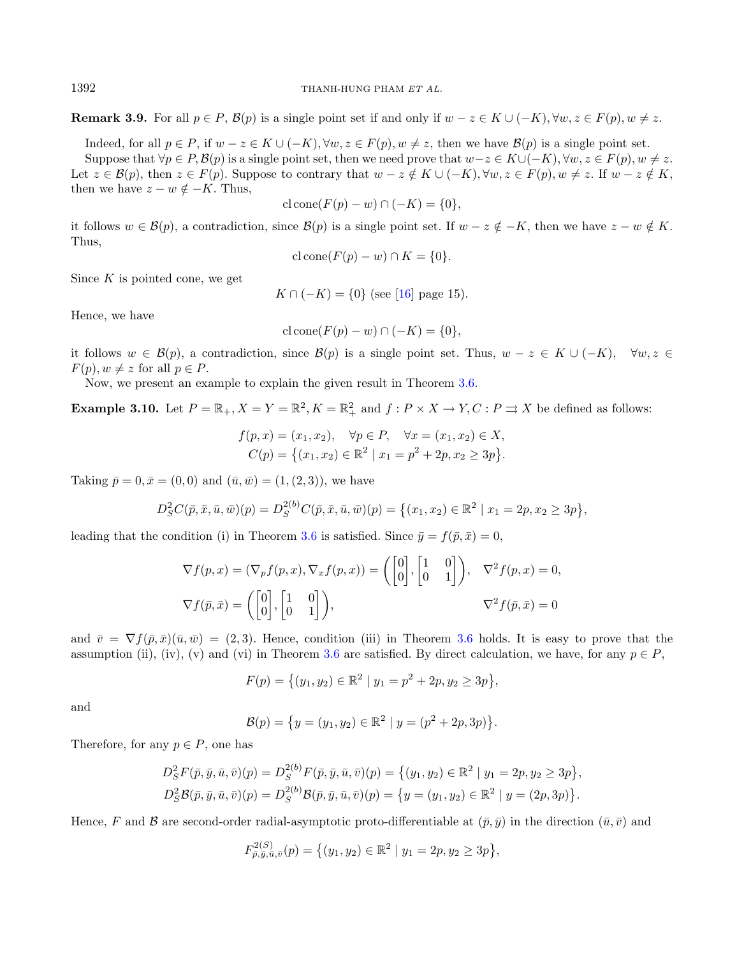**Remark 3.9.** For all  $p \in P$ ,  $\mathcal{B}(p)$  is a single point set if and only if  $w - z \in K \cup (-K)$ ,  $\forall w, z \in F(p)$ ,  $w \neq z$ .

Indeed, for all  $p \in P$ , if  $w - z \in K \cup (-K)$ ,  $\forall w, z \in F(p)$ ,  $w \neq z$ , then we have  $\mathcal{B}(p)$  is a single point set.

Suppose that  $\forall p \in P, \mathcal{B}(p)$  is a single point set, then we need prove that  $w-z \in K \cup (-K)$ ,  $\forall w, z \in F(p), w \neq z$ . Let  $z \in \mathcal{B}(p)$ , then  $z \in F(p)$ . Suppose to contrary that  $w - z \notin K \cup (-K)$ ,  $\forall w, z \in F(p)$ ,  $w \neq z$ . If  $w - z \notin K$ , then we have  $z - w \notin -K$ . Thus,

$$
c \operatorname{lcone}(F(p) - w) \cap (-K) = \{0\},\
$$

it follows  $w \in \mathcal{B}(p)$ , a contradiction, since  $\mathcal{B}(p)$  is a single point set. If  $w - z \notin -K$ , then we have  $z - w \notin K$ . Thus,

$$
c \operatorname{lcone}(F(p) - w) \cap K = \{0\}.
$$

Since  $K$  is pointed cone, we get

 $K \cap (-K) = \{0\}$  (see [\[16\]](#page-21-20) page 15).

Hence, we have

$$
c \operatorname{lcone}(F(p) - w) \cap (-K) = \{0\},\
$$

it follows  $w \in \mathcal{B}(p)$ , a contradiction, since  $\mathcal{B}(p)$  is a single point set. Thus,  $w - z \in K \cup (-K)$ ,  $\forall w, z \in$  $F(p), w \neq z$  for all  $p \in P$ .

Now, we present an example to explain the given result in Theorem [3.6.](#page-14-2)

**Example 3.10.** Let  $P = \mathbb{R}_+$ ,  $X = Y = \mathbb{R}^2$ ,  $K = \mathbb{R}^2_+$  and  $f: P \times X \to Y$ ,  $C: P \rightrightarrows X$  be defined as follows:

$$
f(p, x) = (x_1, x_2), \quad \forall p \in P, \quad \forall x = (x_1, x_2) \in X, C(p) = \{(x_1, x_2) \in \mathbb{R}^2 \mid x_1 = p^2 + 2p, x_2 \ge 3p\}.
$$

Taking  $\bar{p} = 0, \bar{x} = (0, 0)$  and  $(\bar{u}, \bar{w}) = (1, (2, 3))$ , we have

$$
D_S^2 C(\bar{p}, \bar{x}, \bar{u}, \bar{w})(p) = D_S^{2(b)} C(\bar{p}, \bar{x}, \bar{u}, \bar{w})(p) = \{ (x_1, x_2) \in \mathbb{R}^2 \mid x_1 = 2p, x_2 \ge 3p \},
$$

leading that the condition (i) in Theorem [3.6](#page-14-2) is satisfied. Since  $\bar{y} = f(\bar{p}, \bar{x}) = 0$ ,

2()

$$
\nabla f(p, x) = (\nabla_p f(p, x), \nabla_x f(p, x)) = \begin{pmatrix} 0 \\ 0 \end{pmatrix}, \begin{bmatrix} 1 & 0 \\ 0 & 1 \end{bmatrix}, \quad \nabla^2 f(p, x) = 0,
$$
  

$$
\nabla f(\bar{p}, \bar{x}) = \begin{pmatrix} 0 \\ 0 \end{pmatrix}, \begin{bmatrix} 1 & 0 \\ 0 & 1 \end{bmatrix}, \quad \nabla^2 f(p, \bar{x}) = 0
$$

and  $\bar{v} = \nabla f(\bar{p}, \bar{x})(\bar{u}, \bar{w}) = (2, 3)$ . Hence, condition (iii) in Theorem [3.6](#page-14-2) holds. It is easy to prove that the assumption (ii), (iv), (v) and (vi) in Theorem [3.6](#page-14-2) are satisfied. By direct calculation, we have, for any  $p \in P$ ,

$$
F(p) = \{(y_1, y_2) \in \mathbb{R}^2 \mid y_1 = p^2 + 2p, y_2 \ge 3p\},\
$$

and

$$
\mathcal{B}(p) = \{y = (y_1, y_2) \in \mathbb{R}^2 \mid y = (p^2 + 2p, 3p)\}.
$$

Therefore, for any  $p \in P$ , one has

$$
D_S^2 F(\bar{p}, \bar{y}, \bar{u}, \bar{v})(p) = D_S^{2(b)} F(\bar{p}, \bar{y}, \bar{u}, \bar{v})(p) = \{ (y_1, y_2) \in \mathbb{R}^2 \mid y_1 = 2p, y_2 \ge 3p \},
$$
  

$$
D_S^2 \mathcal{B}(\bar{p}, \bar{y}, \bar{u}, \bar{v})(p) = D_S^{2(b)} \mathcal{B}(\bar{p}, \bar{y}, \bar{u}, \bar{v})(p) = \{ y = (y_1, y_2) \in \mathbb{R}^2 \mid y = (2p, 3p) \}.
$$

Hence, F and B are second-order radial-asymptotic proto-differentiable at  $(\bar{p}, \bar{y})$  in the direction  $(\bar{u}, \bar{v})$  and

$$
F_{\bar{p},y,\bar{u},\bar{v}}^{2(S)}(p) = \{ (y_1, y_2) \in \mathbb{R}^2 \mid y_1 = 2p, y_2 \ge 3p \},\
$$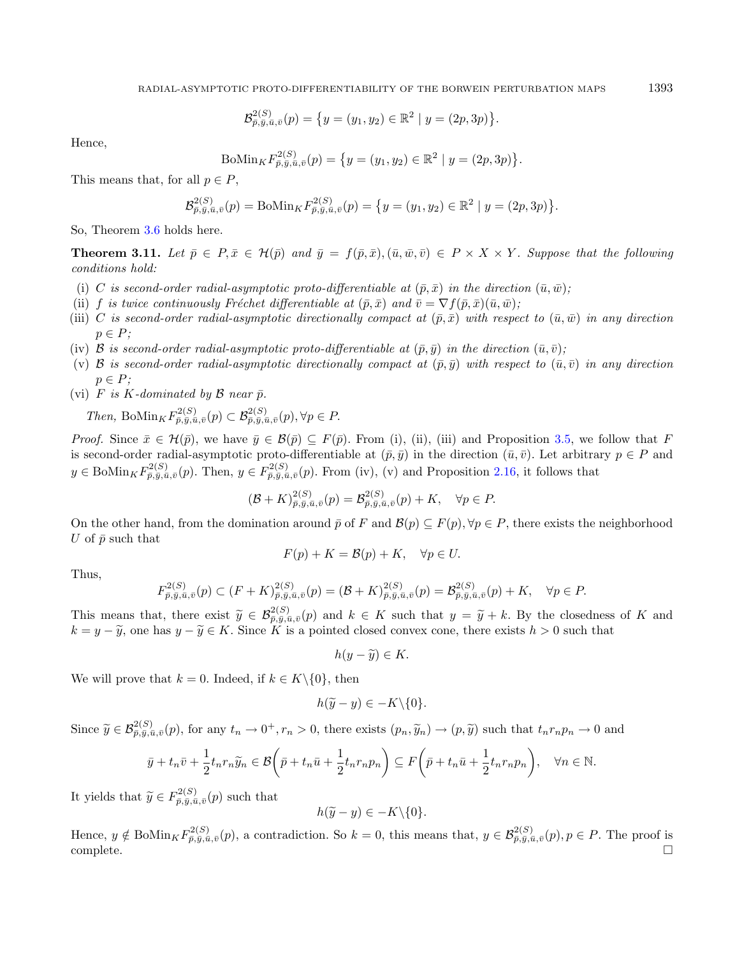$$
\mathcal{B}_{\bar{p},\bar{y},\bar{u},\bar{v}}^{2(S)}(p) = \{y = (y_1, y_2) \in \mathbb{R}^2 \mid y = (2p, 3p)\}.
$$

Hence,

$$
\text{BoMin}_{K} F_{\bar{p},\bar{y},\bar{u},\bar{v}}^{2(S)}(p) = \{ y = (y_1, y_2) \in \mathbb{R}^2 \mid y = (2p, 3p) \}.
$$

This means that, for all  $p \in P$ ,

$$
\mathcal{B}_{\bar{p},\bar{y},\bar{u},\bar{v}}^{2(S)}(p) = \text{BoMin}_{K} F_{\bar{p},\bar{y},\bar{u},\bar{v}}^{2(S)}(p) = \left\{ y = (y_1, y_2) \in \mathbb{R}^2 \mid y = (2p, 3p) \right\}.
$$

So, Theorem [3.6](#page-14-2) holds here.

**Theorem 3.11.** Let  $\bar{p} \in P$ ,  $\bar{x} \in H(\bar{p})$  and  $\bar{y} = f(\bar{p}, \bar{x})$ ,  $(\bar{u}, \bar{w}, \bar{v}) \in P \times X \times Y$ . Suppose that the following conditions hold:

- (i) C is second-order radial-asymptotic proto-differentiable at  $(\bar{p}, \bar{x})$  in the direction  $(\bar{u}, \bar{w})$ ;
- (ii) f is twice continuously Fréchet differentiable at  $(\bar{p}, \bar{x})$  and  $\bar{v} = \nabla f(\bar{p}, \bar{x})(\bar{u}, \bar{w})$ ;
- (iii) C is second-order radial-asymptotic directionally compact at  $(\bar{p}, \bar{x})$  with respect to  $(\bar{u}, \bar{w})$  in any direction  $p \in P$ ;
- (iv)  $\mathcal B$  is second-order radial-asymptotic proto-differentiable at  $(\bar{p}, \bar{y})$  in the direction  $(\bar{u}, \bar{v})$ ;
- (v)  $\mathcal B$  is second-order radial-asymptotic directionally compact at  $(\bar p, \bar y)$  with respect to  $(\bar u, \bar v)$  in any direction  $p \in P$ :
- (vi) F is K-dominated by B near  $\bar{p}$ .

Then, Bo $\text{Min}_K F_{\bar{p},\bar{y},\bar{u},\bar{v}}^{2(S)}(p) \subset \mathcal{B}_{\bar{p},\bar{y},\bar{u},\bar{v}}^{2(S)}(p), \forall p \in P.$ 

*Proof.* Since  $\bar{x} \in \mathcal{H}(\bar{p})$ , we have  $\bar{y} \in \mathcal{B}(\bar{p}) \subseteq F(\bar{p})$ . From (i), (ii), (iii) and Proposition [3.5,](#page-12-1) we follow that F is second-order radial-asymptotic proto-differentiable at  $(\bar{p}, \bar{y})$  in the direction  $(\bar{u}, \bar{v})$ . Let arbitrary  $p \in P$  and  $y \in \text{BoMin}_{K} F_{\bar{p},\bar{y},\bar{u},\bar{v}}^{2(S)}(p)$ . Then,  $y \in F_{\bar{p},\bar{y},\bar{u},\bar{v}}^{2(S)}(p)$ . From (iv), (v) and Proposition [2.16,](#page-6-2) it follows that

$$
(\mathcal{B} + K)^{2(S)}_{\bar{p}, \bar{y}, \bar{u}, \bar{v}}(p) = \mathcal{B}^{2(S)}_{\bar{p}, \bar{y}, \bar{u}, \bar{v}}(p) + K, \quad \forall p \in P.
$$

On the other hand, from the domination around  $\bar{p}$  of F and  $\mathcal{B}(p) \subseteq F(p), \forall p \in P$ , there exists the neighborhood U of  $\bar{p}$  such that

$$
F(p) + K = \mathcal{B}(p) + K, \quad \forall p \in U.
$$

Thus,

$$
F_{\bar{p},\bar{y},\bar{u},\bar{v}}^{2(S)}(p) \subset (F+K)_{\bar{p},\bar{y},\bar{u},\bar{v}}^{2(S)}(p) = (\mathcal{B}+K)_{\bar{p},\bar{y},\bar{u},\bar{v}}^{2(S)}(p) = \mathcal{B}_{\bar{p},\bar{y},\bar{u},\bar{v}}^{2(S)}(p) + K, \quad \forall p \in P.
$$

This means that, there exist  $\tilde{y} \in \mathcal{B}_{\tilde{p}, \tilde{y}, \tilde{u}, \tilde{v}}^{2(S)}(p)$  and  $k \in K$  such that  $y = \tilde{y} + k$ . By the closedness of K and  $k = u - \tilde{u}$  one has  $u - \tilde{u} \in K$  Since  $K$  is a pointed closed convex cone, ther  $k = y - \tilde{y}$ , one has  $y - \tilde{y} \in K$ . Since K is a pointed closed convex cone, there exists  $h > 0$  such that

$$
h(y-\widetilde{y})\in K.
$$

We will prove that  $k = 0$ . Indeed, if  $k \in K \setminus \{0\}$ , then

$$
h(\widetilde{y}-y)\in -K\backslash\{0\}.
$$

Since  $\widetilde{y} \in \mathcal{B}_{\overline{p},\overline{y},\overline{u},\overline{v}}^{2(S)}(p)$ , for any  $t_n \to 0^+, r_n > 0$ , there exists  $(p_n, \widetilde{y}_n) \to (p, \widetilde{y})$  such that  $t_n r_n p_n \to 0$  and

$$
\bar{y} + t_n \bar{v} + \frac{1}{2} t_n r_n \widetilde{y}_n \in \mathcal{B}\left(\bar{p} + t_n \bar{u} + \frac{1}{2} t_n r_n p_n\right) \subseteq F\left(\bar{p} + t_n \bar{u} + \frac{1}{2} t_n r_n p_n\right), \quad \forall n \in \mathbb{N}.
$$

It yields that  $\widetilde{y} \in F_{\bar{p},\bar{y},\bar{u},\bar{v}}^{2(S)}(p)$  such that

$$
h(\widetilde{y}-y)\in -K\backslash\{0\}.
$$

Hence,  $y \notin \text{BoMin}_{K} F^{2(S)}_{\bar{p}, \bar{y}, \bar{u}, \bar{v}}(p)$ , a contradiction. So  $k = 0$ , this means that,  $y \in \mathcal{B}^{2(S)}_{\bar{p}, \bar{y}, \bar{u}, \bar{v}}(p), p \in P$ . The proof is  $\Box$ complete.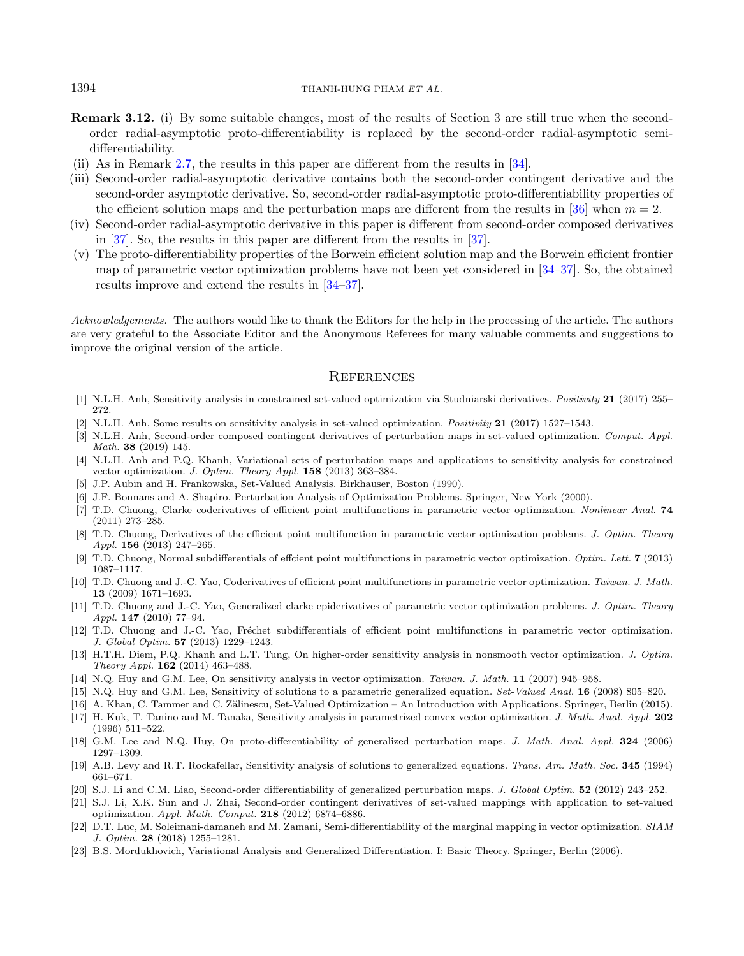#### 1394 THANH-HUNG PHAM ET AL.

- Remark 3.12. (i) By some suitable changes, most of the results of Section 3 are still true when the secondorder radial-asymptotic proto-differentiability is replaced by the second-order radial-asymptotic semidifferentiability.
- (ii) As in Remark [2.7,](#page-3-0) the results in this paper are different from the results in [\[34\]](#page-22-14).
- (iii) Second-order radial-asymptotic derivative contains both the second-order contingent derivative and the second-order asymptotic derivative. So, second-order radial-asymptotic proto-differentiability properties of the efficient solution maps and the perturbation maps are different from the results in [\[36\]](#page-22-16) when  $m = 2$ .
- <span id="page-21-11"></span>(iv) Second-order radial-asymptotic derivative in this paper is different from second-order composed derivatives in [\[37\]](#page-22-17). So, the results in this paper are different from the results in [\[37\]](#page-22-17).
- <span id="page-21-13"></span><span id="page-21-12"></span><span id="page-21-9"></span>(v) The proto-differentiability properties of the Borwein efficient solution map and the Borwein efficient frontier map of parametric vector optimization problems have not been yet considered in [\[34–](#page-22-14)[37\]](#page-22-17). So, the obtained results improve and extend the results in [\[34–](#page-22-14)[37\]](#page-22-17).

<span id="page-21-22"></span><span id="page-21-21"></span><span id="page-21-5"></span><span id="page-21-1"></span>Acknowledgements. The authors would like to thank the Editors for the help in the processing of the article. The authors are very grateful to the Associate Editor and the Anonymous Referees for many valuable comments and suggestions to improve the original version of the article.

## **REFERENCES**

- <span id="page-21-3"></span><span id="page-21-2"></span>[1] N.L.H. Anh, Sensitivity analysis in constrained set-valued optimization via Studniarski derivatives. Positivity 21 (2017) 255– 272.
- <span id="page-21-7"></span>[2] N.L.H. Anh, Some results on sensitivity analysis in set-valued optimization. Positivity 21 (2017) 1527–1543.
- [3] N.L.H. Anh, Second-order composed contingent derivatives of perturbation maps in set-valued optimization. Comput. Appl. Math. 38 (2019) 145.
- <span id="page-21-4"></span>[4] N.L.H. Anh and P.Q. Khanh, Variational sets of perturbation maps and applications to sensitivity analysis for constrained vector optimization. J. Optim. Theory Appl. 158 (2013) 363–384.
- <span id="page-21-10"></span>[5] J.P. Aubin and H. Frankowska, Set-Valued Analysis. Birkhauser, Boston (1990).
- <span id="page-21-16"></span>[6] J.F. Bonnans and A. Shapiro, Perturbation Analysis of Optimization Problems. Springer, New York (2000).
- <span id="page-21-17"></span>[7] T.D. Chuong, Clarke coderivatives of efficient point multifunctions in parametric vector optimization. Nonlinear Anal. 74 (2011) 273–285.
- <span id="page-21-20"></span><span id="page-21-6"></span>[8] T.D. Chuong, Derivatives of the efficient point multifunction in parametric vector optimization problems. J. Optim. Theory Appl. 156 (2013) 247–265.
- <span id="page-21-15"></span>[9] T.D. Chuong, Normal subdifferentials of effcient point multifunctions in parametric vector optimization. Optim. Lett. 7 (2013) 1087–1117.
- <span id="page-21-14"></span>[10] T.D. Chuong and J.-C. Yao, Coderivatives of efficient point multifunctions in parametric vector optimization. Taiwan. J. Math. 13 (2009) 1671–1693.
- <span id="page-21-19"></span>[11] T.D. Chuong and J.-C. Yao, Generalized clarke epiderivatives of parametric vector optimization problems. J. Optim. Theory Appl. 147 (2010) 77–94.
- <span id="page-21-8"></span>[12] T.D. Chuong and J.-C. Yao, Fréchet subdifferentials of efficient point multifunctions in parametric vector optimization. J. Global Optim. 57 (2013) 1229–1243.
- <span id="page-21-18"></span>[13] H.T.H. Diem, P.Q. Khanh and L.T. Tung, On higher-order sensitivity analysis in nonsmooth vector optimization. J. Optim. Theory Appl. 162 (2014) 463–488.
- <span id="page-21-0"></span>[14] N.Q. Huy and G.M. Lee, On sensitivity analysis in vector optimization. Taiwan. J. Math. 11 (2007) 945–958.
- [15] N.Q. Huy and G.M. Lee, Sensitivity of solutions to a parametric generalized equation. Set-Valued Anal. 16 (2008) 805–820.
- [16] A. Khan, C. Tammer and C. Zălinescu, Set-Valued Optimization An Introduction with Applications. Springer, Berlin (2015).
- [17] H. Kuk, T. Tanino and M. Tanaka, Sensitivity analysis in parametrized convex vector optimization. J. Math. Anal. Appl. 202 (1996) 511–522.
- [18] G.M. Lee and N.Q. Huy, On proto-differentiability of generalized perturbation maps. J. Math. Anal. Appl. 324 (2006) 1297–1309.
- [19] A.B. Levy and R.T. Rockafellar, Sensitivity analysis of solutions to generalized equations. Trans. Am. Math. Soc. 345 (1994) 661–671.
- [20] S.J. Li and C.M. Liao, Second-order differentiability of generalized perturbation maps. J. Global Optim. 52 (2012) 243–252.
- [21] S.J. Li, X.K. Sun and J. Zhai, Second-order contingent derivatives of set-valued mappings with application to set-valued optimization. Appl. Math. Comput. 218 (2012) 6874–6886.
- [22] D.T. Luc, M. Soleimani-damaneh and M. Zamani, Semi-differentiability of the marginal mapping in vector optimization. SIAM J. Optim. 28 (2018) 1255–1281.
- [23] B.S. Mordukhovich, Variational Analysis and Generalized Differentiation. I: Basic Theory. Springer, Berlin (2006).